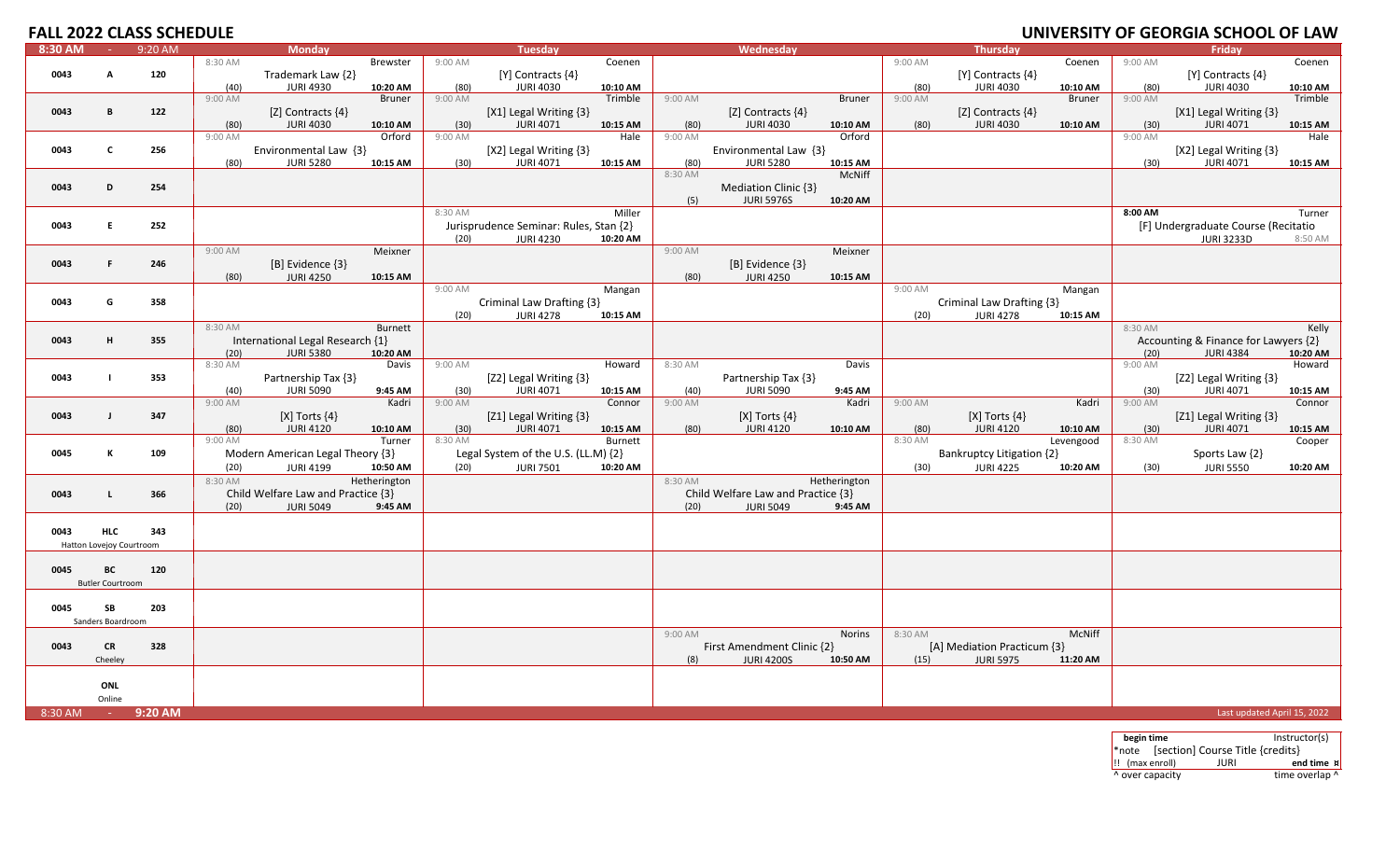### **FALL 2022 CLASS SCHEDULE UNIVERSITY**

| 8:30 AM | $\sim$                   | 9:20 AM |                 | <b>Monday</b>                           |                    |                 | <b>Tuesday</b>                             |                     |         | Wednesday                          |               |                 | <b>Thursday</b>                         |                       |                 | Friday                                     |                    |
|---------|--------------------------|---------|-----------------|-----------------------------------------|--------------------|-----------------|--------------------------------------------|---------------------|---------|------------------------------------|---------------|-----------------|-----------------------------------------|-----------------------|-----------------|--------------------------------------------|--------------------|
|         |                          |         | 8:30 AM         |                                         | Brewster           | 9:00 AM         |                                            | Coenen              |         |                                    |               | 9:00 AM         |                                         | Coenen                | 9:00 AM         |                                            | Coenen             |
| 0043    | A                        | 120     |                 | Trademark Law {2}                       |                    |                 | [Y] Contracts {4}                          |                     |         |                                    |               |                 | [Y] Contracts {4}                       |                       |                 | [Y] Contracts {4}                          |                    |
|         |                          |         | (40)            | <b>JURI 4930</b>                        | 10:20 AM           | (80)            | <b>JURI 4030</b>                           | 10:10 AM            |         |                                    |               | (80)            | <b>JURI 4030</b>                        | 10:10 AM              | (80)            | <b>JURI 4030</b>                           | 10:10 AM           |
|         |                          |         | 9:00 AM         |                                         | <b>Bruner</b>      | 9:00 AM         |                                            | Trimble             | 9:00 AM |                                    | <b>Bruner</b> | 9:00 AM         |                                         | <b>Bruner</b>         | 9:00 AM         |                                            | Trimble            |
| 0043    | $\mathbf{B}$             | 122     |                 | [Z] Contracts $\{4\}$                   |                    |                 | [X1] Legal Writing {3}                     |                     |         | [Z] Contracts $\{4\}$              |               |                 | [Z] Contracts $\{4\}$                   |                       |                 | [X1] Legal Writing {3}                     |                    |
|         |                          |         | (80)            | <b>JURI 4030</b>                        | 10:10 AM           | (30)            | <b>JURI 4071</b>                           | 10:15 AM            | (80)    | <b>JURI 4030</b>                   | 10:10 AM      | (80)            | <b>JURI 4030</b>                        | 10:10 AM              | (30)            | <b>JURI 4071</b>                           | 10:15 AM           |
|         |                          |         | 9:00 AM         |                                         | Orford             | 9:00 AM         |                                            | Hale                | 9:00 AM |                                    | Orford        |                 |                                         |                       | 9:00 AM         |                                            | Hale               |
| 0043    | C                        | 256     |                 | Environmental Law {3}                   |                    |                 | [X2] Legal Writing {3}                     |                     |         | Environmental Law {3}              |               |                 |                                         |                       |                 | [X2] Legal Writing {3}                     |                    |
|         |                          |         | (80)            | <b>JURI 5280</b>                        | 10:15 AM           | (30)            | <b>JURI 4071</b>                           | 10:15 AM            | (80)    | <b>JURI 5280</b>                   | 10:15 AM      |                 |                                         |                       | (30)            | <b>JURI 4071</b>                           | 10:15 AM           |
|         |                          |         |                 |                                         |                    |                 |                                            |                     | 8:30 AM |                                    | <b>McNiff</b> |                 |                                         |                       |                 |                                            |                    |
| 0043    | D                        | 254     |                 |                                         |                    |                 |                                            |                     |         | Mediation Clinic {3}               |               |                 |                                         |                       |                 |                                            |                    |
|         |                          |         |                 |                                         |                    | 8:30 AM         |                                            | Miller              | (5)     | <b>JURI 5976S</b>                  | 10:20 AM      |                 |                                         |                       | 8:00 AM         |                                            | Turner             |
| 0043    | E.                       | 252     |                 |                                         |                    |                 | Jurisprudence Seminar: Rules, Stan {2}     |                     |         |                                    |               |                 |                                         |                       |                 | [F] Undergraduate Course (Recitatio        |                    |
|         |                          |         |                 |                                         |                    | (20)            | <b>JURI 4230</b>                           | 10:20 AM            |         |                                    |               |                 |                                         |                       |                 | <b>JURI 3233D</b>                          | 8:50 AM            |
|         |                          |         | 9:00 AM         |                                         | Meixner            |                 |                                            |                     | 9:00 AM |                                    | Meixner       |                 |                                         |                       |                 |                                            |                    |
| 0043    | F                        | 246     |                 | [B] Evidence {3}                        |                    |                 |                                            |                     |         | [B] Evidence {3}                   |               |                 |                                         |                       |                 |                                            |                    |
|         |                          |         | (80)            | <b>JURI 4250</b>                        | 10:15 AM           |                 |                                            |                     | (80)    | <b>JURI 4250</b>                   | 10:15 AM      |                 |                                         |                       |                 |                                            |                    |
|         |                          |         |                 |                                         |                    | 9:00 AM         |                                            | Mangan              |         |                                    |               | 9:00 AM         |                                         | Mangan                |                 |                                            |                    |
| 0043    | G                        | 358     |                 |                                         |                    |                 | Criminal Law Drafting {3}                  |                     |         |                                    |               |                 | Criminal Law Drafting {3}               |                       |                 |                                            |                    |
|         |                          |         |                 |                                         |                    | (20)            | <b>JURI 4278</b>                           | 10:15 AM            |         |                                    |               | (20)            | <b>JURI 4278</b>                        | 10:15 AM              |                 |                                            |                    |
|         |                          |         | 8:30 AM         |                                         | <b>Burnett</b>     |                 |                                            |                     |         |                                    |               |                 |                                         |                       | 8:30 AM         |                                            | Kelly              |
| 0043    | н                        | 355     |                 | International Legal Research {1}        |                    |                 |                                            |                     |         |                                    |               |                 |                                         |                       |                 | Accounting & Finance for Lawyers {2}       |                    |
|         |                          |         | (20)            | <b>JURI 5380</b>                        | 10:20 AM           |                 |                                            |                     |         |                                    |               |                 |                                         |                       | (20)            | <b>JURI 4384</b>                           | 10:20 AM           |
|         |                          |         | 8:30 AM         |                                         | Davis              | 9:00 AM         |                                            | Howard              | 8:30 AM |                                    | Davis         |                 |                                         |                       | 9:00 AM         |                                            | Howard             |
| 0043    | $\mathbf{I}$             | 353     |                 | Partnership Tax {3}                     |                    |                 | [Z2] Legal Writing {3}                     |                     |         | Partnership Tax {3}                |               |                 |                                         |                       |                 | [Z2] Legal Writing {3}                     |                    |
|         |                          |         | (40)            | <b>JURI 5090</b>                        | 9:45 AM            | (30)            | <b>JURI 4071</b>                           | 10:15 AM            | (40)    | <b>JURI 5090</b>                   | 9:45 AM       |                 |                                         |                       | (30)            | <b>JURI 4071</b>                           | 10:15 AM           |
|         |                          |         | 9:00 AM         |                                         | Kadri              | 9:00 AM         |                                            | Connor              | 9:00 AM |                                    | Kadri         | 9:00 AM         |                                         | Kadri                 | 9:00 AM         |                                            | Connor             |
| 0043    | $\blacksquare$           | 347     |                 | $[X]$ Torts $\{4\}$<br><b>JURI 4120</b> |                    |                 | [Z1] Legal Writing {3}<br><b>JURI 4071</b> |                     |         | $[X]$ Torts $\{4\}$                |               |                 | $[X]$ Torts $\{4\}$<br><b>JURI 4120</b> |                       |                 | [Z1] Legal Writing {3}<br><b>JURI 4071</b> |                    |
|         |                          |         | (80)<br>9:00 AM |                                         | 10:10 AM<br>Turner | (30)<br>8:30 AM |                                            | 10:15 AM<br>Burnett | (80)    | <b>JURI 4120</b>                   | 10:10 AM      | (80)<br>8:30 AM |                                         | 10:10 AM<br>Levengood | (30)<br>8:30 AM |                                            | 10:15 AM<br>Cooper |
| 0045    |                          | 109     |                 | Modern American Legal Theory {3}        |                    |                 | Legal System of the U.S. (LL.M) {2}        |                     |         |                                    |               |                 | Bankruptcy Litigation {2}               |                       |                 | Sports Law {2}                             |                    |
|         |                          |         | (20)            | <b>JURI 4199</b>                        | 10:50 AM           | (20)            | <b>JURI 7501</b>                           | 10:20 AM            |         |                                    |               | (30)            | <b>JURI 4225</b>                        | 10:20 AM              | (30)            | <b>JURI 5550</b>                           | 10:20 AM           |
|         |                          |         | 8:30 AM         |                                         | Hetherington       |                 |                                            |                     | 8:30 AM |                                    | Hetherington  |                 |                                         |                       |                 |                                            |                    |
| 0043    | L                        | 366     |                 | Child Welfare Law and Practice {3}      |                    |                 |                                            |                     |         | Child Welfare Law and Practice {3} |               |                 |                                         |                       |                 |                                            |                    |
|         |                          |         | (20)            | <b>JURI 5049</b>                        | 9:45 AM            |                 |                                            |                     | (20)    | <b>JURI 5049</b>                   | 9:45 AM       |                 |                                         |                       |                 |                                            |                    |
|         |                          |         |                 |                                         |                    |                 |                                            |                     |         |                                    |               |                 |                                         |                       |                 |                                            |                    |
| 0043    | <b>HLC</b>               | 343     |                 |                                         |                    |                 |                                            |                     |         |                                    |               |                 |                                         |                       |                 |                                            |                    |
|         | Hatton Lovejoy Courtroom |         |                 |                                         |                    |                 |                                            |                     |         |                                    |               |                 |                                         |                       |                 |                                            |                    |
|         |                          |         |                 |                                         |                    |                 |                                            |                     |         |                                    |               |                 |                                         |                       |                 |                                            |                    |
| 0045    | BC                       | 120     |                 |                                         |                    |                 |                                            |                     |         |                                    |               |                 |                                         |                       |                 |                                            |                    |
|         | <b>Butler Courtroom</b>  |         |                 |                                         |                    |                 |                                            |                     |         |                                    |               |                 |                                         |                       |                 |                                            |                    |
|         |                          |         |                 |                                         |                    |                 |                                            |                     |         |                                    |               |                 |                                         |                       |                 |                                            |                    |
| 0045    | SB                       | 203     |                 |                                         |                    |                 |                                            |                     |         |                                    |               |                 |                                         |                       |                 |                                            |                    |
|         | Sanders Boardroom        |         |                 |                                         |                    |                 |                                            |                     | 9:00 AM |                                    |               | 8:30 AM         |                                         |                       |                 |                                            |                    |
| 0043    | CR                       | 328     |                 |                                         |                    |                 |                                            |                     |         | First Amendment Clinic {2}         | Norins        |                 | [A] Mediation Practicum {3}             | McNiff                |                 |                                            |                    |
|         | Cheeley                  |         |                 |                                         |                    |                 |                                            |                     | (8)     | <b>JURI 4200S</b>                  | 10:50 AM      | (15)            | <b>JURI 5975</b>                        | 11:20 AM              |                 |                                            |                    |
|         |                          |         |                 |                                         |                    |                 |                                            |                     |         |                                    |               |                 |                                         |                       |                 |                                            |                    |
|         | ONL                      |         |                 |                                         |                    |                 |                                            |                     |         |                                    |               |                 |                                         |                       |                 |                                            |                    |
|         | Online                   |         |                 |                                         |                    |                 |                                            |                     |         |                                    |               |                 |                                         |                       |                 |                                            |                    |
| 8:30 AM | $\sim 10$                | 9:20 AM |                 |                                         |                    |                 |                                            |                     |         |                                    |               |                 |                                         |                       |                 | Last updated April 15, 2022                |                    |
|         |                          |         |                 |                                         |                    |                 |                                            |                     |         |                                    |               |                 |                                         |                       |                 |                                            |                    |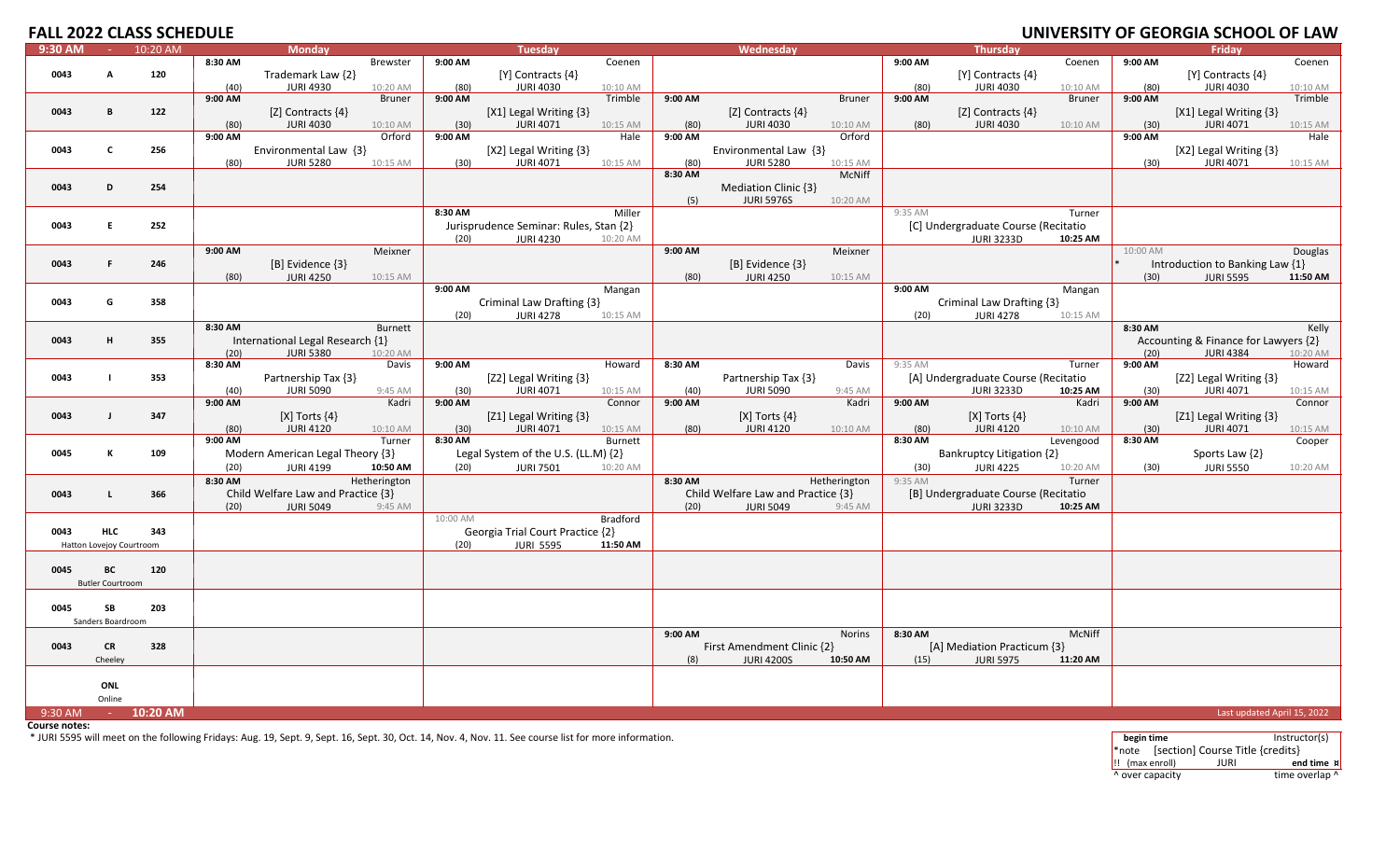| <b>FALL 2022 CLASS SCHEDULE</b> |                               |          |         |                                           |                 |          |                                            |          |         |                                       |               |         |                                           |               |          | UNIVERSITY OF GEORGIA SCHOOL OF LAW        |          |
|---------------------------------|-------------------------------|----------|---------|-------------------------------------------|-----------------|----------|--------------------------------------------|----------|---------|---------------------------------------|---------------|---------|-------------------------------------------|---------------|----------|--------------------------------------------|----------|
| 9:30 AM                         | $\sim 10^{-1}$                | 10:20 AM |         | <b>Monday</b>                             |                 |          | <b>Tuesday</b>                             |          |         | Wednesday                             |               |         | <b>Thursday</b>                           |               |          | <b>Fridav</b>                              |          |
|                                 |                               |          | 8:30 AM |                                           | <b>Brewster</b> | 9:00 AM  |                                            | Coenen   |         |                                       |               | 9:00 AM |                                           | Coenen        | 9:00 AM  |                                            | Coenen   |
| 0043                            | A                             | 120      |         | Trademark Law {2}                         |                 |          | $[Y]$ Contracts $\{4\}$                    |          |         |                                       |               |         | $[Y]$ Contracts $\{4\}$                   |               |          | $[Y]$ Contracts $\{4\}$                    |          |
|                                 |                               |          | (40)    | <b>JURI 4930</b>                          | 10:20 AM        | (80)     | <b>JURI 4030</b>                           | 10:10 AM |         |                                       |               | (80)    | <b>JURI 4030</b>                          | 10:10 AM      | (80)     | <b>JURI 4030</b>                           | 10:10 AM |
|                                 |                               |          | 9:00 AM |                                           | <b>Bruner</b>   | 9:00 AM  |                                            | Trimble  | 9:00 AM |                                       | <b>Bruner</b> | 9:00 AM |                                           | <b>Bruner</b> | 9:00 AM  |                                            | Trimble  |
| 0043                            | B                             | 122      | (80)    | [Z] Contracts $\{4\}$<br><b>JURI 4030</b> | 10:10 AM        | (30)     | [X1] Legal Writing {3}<br><b>JURI 4071</b> | 10:15 AM | (80)    | [Z] Contracts {4}<br><b>JURI 4030</b> | 10:10 AM      | (80)    | [Z] Contracts $\{4\}$<br><b>JURI 4030</b> | 10:10 AM      | (30)     | [X1] Legal Writing {3}<br><b>JURI 4071</b> | 10:15 AM |
|                                 |                               |          | 9:00 AM |                                           | Orford          | 9:00 AM  |                                            | Hale     | 9:00 AM |                                       | Orford        |         |                                           |               | 9:00 AM  |                                            | Hale     |
| 0043                            | $\mathbf{c}$                  | 256      |         | Environmental Law {3}                     |                 |          | [X2] Legal Writing {3}                     |          |         | Environmental Law $\{3\}$             |               |         |                                           |               |          | [X2] Legal Writing $\{3\}$                 |          |
|                                 |                               |          | (80)    | <b>JURI 5280</b>                          | 10:15 AM        | (30)     | <b>JURI 4071</b>                           | 10:15 AM | (80)    | <b>JURI 5280</b>                      | 10:15 AM      |         |                                           |               | (30)     | <b>JURI 4071</b>                           | 10:15 AM |
|                                 |                               |          |         |                                           |                 |          |                                            |          | 8:30 AM |                                       | McNiff        |         |                                           |               |          |                                            |          |
| 0043                            | D                             | 254      |         |                                           |                 |          |                                            |          |         | Mediation Clinic {3}                  |               |         |                                           |               |          |                                            |          |
|                                 |                               |          |         |                                           |                 |          |                                            |          | (5)     | <b>JURI 5976S</b>                     | 10:20 AM      |         |                                           |               |          |                                            |          |
|                                 |                               |          |         |                                           |                 | 8:30 AM  |                                            | Miller   |         |                                       |               | 9:35 AM |                                           | Turner        |          |                                            |          |
| 0043                            | F.                            | 252      |         |                                           |                 |          | Jurisprudence Seminar: Rules, Stan {2}     |          |         |                                       |               |         | [C] Undergraduate Course (Recitatio       |               |          |                                            |          |
|                                 |                               |          |         |                                           |                 | (20)     | <b>JURI 4230</b>                           | 10:20 AM |         |                                       |               |         | <b>JURI 3233D</b>                         | 10:25 AM      |          |                                            |          |
|                                 |                               |          | 9:00 AM |                                           | Meixner         |          |                                            |          | 9:00 AM |                                       | Meixner       |         |                                           |               | 10:00 AM |                                            | Douglas  |
| 0043                            | F.                            | 246      |         | [B] Evidence {3}                          |                 |          |                                            |          |         | [B] Evidence {3}                      |               |         |                                           |               |          | Introduction to Banking Law {1}            |          |
|                                 |                               |          | (80)    | <b>JURI 4250</b>                          | 10:15 AM        | 9:00 AM  |                                            | Mangan   | (80)    | <b>JURI 4250</b>                      | 10:15 AM      | 9:00 AM |                                           | Mangan        | (30)     | <b>JURI 5595</b>                           | 11:50 AM |
| 0043                            | G                             | 358      |         |                                           |                 |          | Criminal Law Drafting {3}                  |          |         |                                       |               |         | Criminal Law Drafting {3}                 |               |          |                                            |          |
|                                 |                               |          |         |                                           |                 | (20)     | <b>JURI 4278</b>                           | 10:15 AM |         |                                       |               | (20)    | <b>JURI 4278</b>                          | 10:15 AM      |          |                                            |          |
|                                 |                               |          | 8:30 AM |                                           | Burnett         |          |                                            |          |         |                                       |               |         |                                           |               | 8:30 AM  |                                            | Kelly    |
| 0043                            | H                             | 355      |         | International Legal Research {1}          |                 |          |                                            |          |         |                                       |               |         |                                           |               |          | Accounting & Finance for Lawyers {2}       |          |
|                                 |                               |          | (20)    | <b>JURI 5380</b>                          | 10:20 AM        |          |                                            |          |         |                                       |               |         |                                           |               | (20)     | <b>JURI 4384</b>                           | 10:20 AM |
|                                 |                               |          | 8:30 AM |                                           | Davis           | 9:00 AM  |                                            | Howard   | 8:30 AM |                                       | Davis         | 9:35 AM |                                           | Turner        | 9:00 AM  |                                            | Howard   |
| 0043                            | $\mathbf{I}$                  | 353      |         | Partnership Tax {3}                       |                 |          | [Z2] Legal Writing {3}                     |          |         | Partnership Tax {3}                   |               |         | [A] Undergraduate Course (Recitatio       |               |          | [Z2] Legal Writing {3}                     |          |
|                                 |                               |          | (40)    | <b>JURI 5090</b>                          | 9:45 AM         | (30)     | <b>JURI 4071</b>                           | 10:15 AM | (40)    | <b>JURI 5090</b>                      | 9:45 AM       |         | <b>JURI 3233D</b>                         | 10:25 AM      | (30)     | <b>JURI 4071</b>                           | 10:15 AM |
| 0043                            |                               | 347      | 9:00 AM |                                           | Kadri           | 9:00 AM  |                                            | Connor   | 9:00 AM |                                       | Kadri         | 9:00 AM |                                           | Kadri         | 9:00 AM  |                                            | Connor   |
|                                 |                               |          | (80)    | $[X]$ Torts $\{4\}$<br><b>JURI 4120</b>   | 10:10 AM        | (30)     | [Z1] Legal Writing {3}<br><b>JURI 4071</b> | 10:15 AM | (80)    | [X] Torts $\{4\}$<br><b>JURI 4120</b> | 10:10 AM      | (80)    | [X] Torts $\{4\}$<br><b>JURI 4120</b>     | 10:10 AM      | (30)     | [Z1] Legal Writing {3}<br><b>JURI 4071</b> | 10:15 AM |
|                                 |                               |          | 9:00 AM |                                           | Turner          | 8:30 AM  |                                            | Burnett  |         |                                       |               | 8:30 AM |                                           | Levengood     | 8:30 AM  |                                            | Cooper   |
| 0045                            | К                             | 109      |         | Modern American Legal Theory {3}          |                 |          | Legal System of the U.S. (LL.M) {2}        |          |         |                                       |               |         | Bankruptcy Litigation {2}                 |               |          | Sports Law {2}                             |          |
|                                 |                               |          | (20)    | <b>JURI 4199</b>                          | 10:50 AM        | (20)     | <b>JURI 7501</b>                           | 10:20 AM |         |                                       |               | (30)    | <b>JURI 4225</b>                          | 10:20 AM      | (30)     | <b>JURI 5550</b>                           | 10:20 AM |
|                                 |                               |          | 8:30 AM |                                           | Hetherington    |          |                                            |          | 8:30 AM |                                       | Hetherington  | 9:35 AM |                                           | Turner        |          |                                            |          |
| 0043                            | $\mathbf{I}$                  | 366      |         | Child Welfare Law and Practice {3}        |                 |          |                                            |          |         | Child Welfare Law and Practice {3}    |               |         | [B] Undergraduate Course (Recitatio       |               |          |                                            |          |
|                                 |                               |          | (20)    | <b>JURI 5049</b>                          | 9:45 AM         |          |                                            |          | (20)    | <b>JURI 5049</b>                      | 9:45 AM       |         | <b>JURI 3233D</b>                         | 10:25 AM      |          |                                            |          |
|                                 |                               |          |         |                                           |                 | 10:00 AM |                                            | Bradford |         |                                       |               |         |                                           |               |          |                                            |          |
| 0043                            | <b>HLC</b>                    | 343      |         |                                           |                 |          | Georgia Trial Court Practice {2}           |          |         |                                       |               |         |                                           |               |          |                                            |          |
|                                 | Hatton Lovejoy Courtroom      |          |         |                                           |                 | (20)     | <b>JURI 5595</b>                           | 11:50 AM |         |                                       |               |         |                                           |               |          |                                            |          |
|                                 |                               |          |         |                                           |                 |          |                                            |          |         |                                       |               |         |                                           |               |          |                                            |          |
| 0045                            | BC<br><b>Butler Courtroom</b> | 120      |         |                                           |                 |          |                                            |          |         |                                       |               |         |                                           |               |          |                                            |          |
|                                 |                               |          |         |                                           |                 |          |                                            |          |         |                                       |               |         |                                           |               |          |                                            |          |
| 0045                            | <b>SB</b>                     | 203      |         |                                           |                 |          |                                            |          |         |                                       |               |         |                                           |               |          |                                            |          |
|                                 | Sanders Boardroom             |          |         |                                           |                 |          |                                            |          |         |                                       |               |         |                                           |               |          |                                            |          |
|                                 |                               |          |         |                                           |                 |          |                                            |          | 9:00 AM |                                       | <b>Norins</b> | 8:30 AM |                                           | McNiff        |          |                                            |          |
| 0043                            | <b>CR</b>                     | 328      |         |                                           |                 |          |                                            |          |         | First Amendment Clinic {2}            |               |         | [A] Mediation Practicum {3}               |               |          |                                            |          |
|                                 | Cheeley                       |          |         |                                           |                 |          |                                            |          | (8)     | <b>JURI 4200S</b>                     | 10:50 AM      | (15)    | <b>JURI 5975</b>                          | 11:20 AM      |          |                                            |          |
|                                 |                               |          |         |                                           |                 |          |                                            |          |         |                                       |               |         |                                           |               |          |                                            |          |
|                                 | ONL                           |          |         |                                           |                 |          |                                            |          |         |                                       |               |         |                                           |               |          |                                            |          |
|                                 | Online                        |          |         |                                           |                 |          |                                            |          |         |                                       |               |         |                                           |               |          |                                            |          |
| 9:30 AM                         | $\sim 10$                     | 10:20 AM |         |                                           |                 |          |                                            |          |         |                                       |               |         |                                           |               |          | Last updated April 15, 2022                |          |

**Course notes:**

\* JURI 5595 will meet on the following Fridays: Aug. 19, Sept. 9, Sept. 16, Sept. 30, Oct. 14, Nov. 4, Nov. 11. See course list for more information. **begin time** Instructor(s)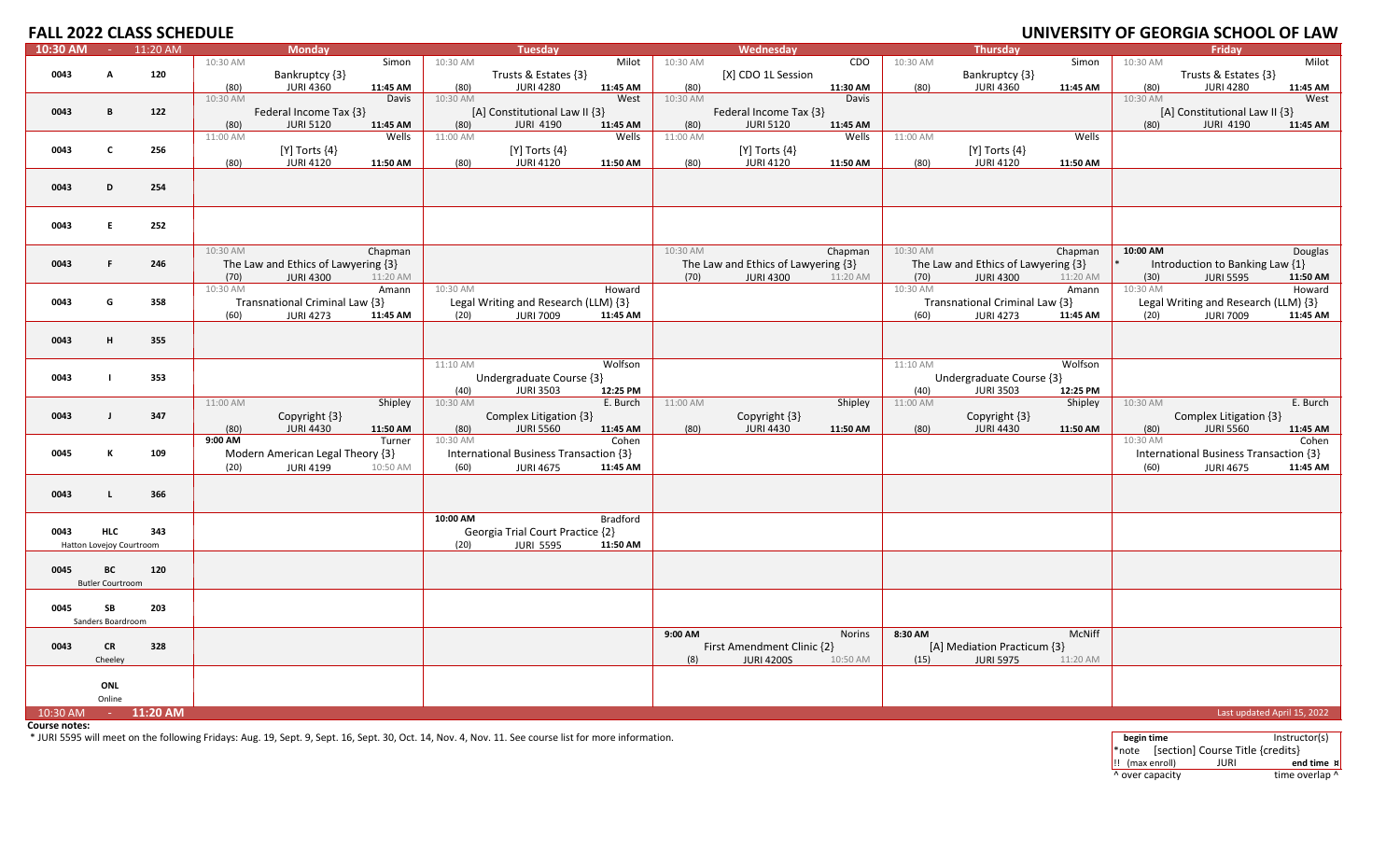# **OF GEORGIA SCHOOL OF LAW**

| $10:30$ AM | $\sim 10^{-1}$           | 11:20 AM     |          | <b>Monday</b>                       |          |          | <b>Tuesday</b>                         |                 |          | Wednesday                           |          |          | Thursday                            |          |          | Friday                                 |                             |
|------------|--------------------------|--------------|----------|-------------------------------------|----------|----------|----------------------------------------|-----------------|----------|-------------------------------------|----------|----------|-------------------------------------|----------|----------|----------------------------------------|-----------------------------|
|            |                          |              | 10:30 AM |                                     | Simon    | 10:30 AM |                                        | Milot           | 10:30 AM |                                     | CDO      | 10:30 AM |                                     | Simon    | 10:30 AM |                                        | Milot                       |
| 0043       | A                        | 120          |          | Bankruptcy {3}                      |          |          | Trusts & Estates {3}                   |                 |          | [X] CDO 1L Session                  |          |          | Bankruptcy {3}                      |          |          | Trusts & Estates {3}                   |                             |
|            |                          |              | (80)     | <b>JURI 4360</b>                    | 11:45 AM | (80)     | <b>JURI 4280</b>                       | 11:45 AM        | (80)     |                                     | 11:30 AM | (80)     | <b>JURI 4360</b>                    | 11:45 AM | (80)     | <b>JURI 4280</b>                       | 11:45 AM                    |
|            |                          |              | 10:30 AM |                                     | Davis    | 10:30 AM |                                        | West            | 10:30 AM |                                     | Davis    |          |                                     |          | 10:30 AM |                                        | West                        |
| 0043       | B                        | 122          |          | Federal Income Tax {3}              |          |          | [A] Constitutional Law II {3}          |                 |          | Federal Income Tax {3}              |          |          |                                     |          |          | [A] Constitutional Law II {3}          |                             |
|            |                          |              | (80)     | <b>JURI 5120</b>                    | 11:45 AM | (80)     | <b>JURI 4190</b>                       | 11:45 AM        | (80)     | <b>JURI 5120</b>                    | 11:45 AM |          |                                     |          | (80)     | <b>JURI 4190</b>                       | 11:45 AM                    |
|            |                          |              | 11:00 AM |                                     | Wells    | 11:00 AM |                                        | Wells           | 11:00 AM |                                     | Wells    | 11:00 AM |                                     | Wells    |          |                                        |                             |
| 0043       | $\mathbf{c}$             | 256          |          | $[Y]$ Torts $\{4\}$                 |          |          | [Y] Torts $\{4\}$                      |                 |          | [Y] Torts $\{4\}$                   |          |          | [Y] Torts $\{4\}$                   |          |          |                                        |                             |
|            |                          |              | (80)     | <b>JURI 4120</b>                    | 11:50 AM | (80)     | <b>JURI 4120</b>                       | 11:50 AM        | (80)     | <b>JURI 4120</b>                    | 11:50 AM | (80)     | JURI 4120                           | 11:50 AM |          |                                        |                             |
|            |                          |              |          |                                     |          |          |                                        |                 |          |                                     |          |          |                                     |          |          |                                        |                             |
| 0043       | D                        | 254          |          |                                     |          |          |                                        |                 |          |                                     |          |          |                                     |          |          |                                        |                             |
|            |                          |              |          |                                     |          |          |                                        |                 |          |                                     |          |          |                                     |          |          |                                        |                             |
|            |                          |              |          |                                     |          |          |                                        |                 |          |                                     |          |          |                                     |          |          |                                        |                             |
| 0043       | E                        | 252          |          |                                     |          |          |                                        |                 |          |                                     |          |          |                                     |          |          |                                        |                             |
|            |                          |              |          |                                     |          |          |                                        |                 |          |                                     |          |          |                                     |          |          |                                        |                             |
|            |                          |              | 10:30 AM |                                     | Chapman  |          |                                        |                 | 10:30 AM |                                     | Chapman  | 10:30 AM |                                     | Chapman  | 10:00 AM |                                        |                             |
|            | F.                       | 246          |          |                                     |          |          |                                        |                 |          |                                     |          |          |                                     |          |          |                                        | Douglas                     |
| 0043       |                          |              |          | The Law and Ethics of Lawyering {3} |          |          |                                        |                 |          | The Law and Ethics of Lawyering {3} |          |          | The Law and Ethics of Lawyering {3} |          |          | Introduction to Banking Law {1}        |                             |
|            |                          |              | (70)     | <b>JURI 4300</b>                    | 11:20 AM |          |                                        |                 | (70)     | <b>JURI 4300</b>                    | 11:20 AM | (70)     | <b>JURI 4300</b>                    | 11:20 AM | (30)     | <b>JURI 5595</b>                       | 11:50 AM                    |
|            |                          |              | 10:30 AM |                                     | Amann    | 10:30 AM |                                        | Howard          |          |                                     |          | 10:30 AM |                                     | Amann    | 10:30 AM |                                        | Howard                      |
| 0043       | G                        | 358          |          | Transnational Criminal Law {3}      |          |          | Legal Writing and Research (LLM) {3}   |                 |          |                                     |          |          | Transnational Criminal Law {3}      |          |          | Legal Writing and Research (LLM) {3}   |                             |
|            |                          |              | (60)     | <b>JURI 4273</b>                    | 11:45 AM | (20)     | <b>JURI 7009</b>                       | 11:45 AM        |          |                                     |          | (60)     | <b>JURI 4273</b>                    | 11:45 AM | (20)     | <b>JURI 7009</b>                       | 11:45 AM                    |
|            |                          |              |          |                                     |          |          |                                        |                 |          |                                     |          |          |                                     |          |          |                                        |                             |
| 0043       | H                        | 355          |          |                                     |          |          |                                        |                 |          |                                     |          |          |                                     |          |          |                                        |                             |
|            |                          |              |          |                                     |          |          |                                        |                 |          |                                     |          |          |                                     |          |          |                                        |                             |
|            |                          |              |          |                                     |          | 11:10 AM |                                        | Wolfson         |          |                                     |          | 11:10 AM |                                     | Wolfson  |          |                                        |                             |
| 0043       | $\mathbf{I}$             | 353          |          |                                     |          |          | Undergraduate Course {3}               |                 |          |                                     |          |          | Undergraduate Course {3}            |          |          |                                        |                             |
|            |                          |              |          |                                     |          | (40)     | <b>JURI 3503</b>                       | 12:25 PM        |          |                                     |          | (40)     | <b>JURI 3503</b>                    | 12:25 PM |          |                                        |                             |
|            |                          |              | 11:00 AM |                                     | Shipley  | 10:30 AM |                                        | E. Burch        | 11:00 AM |                                     | Shipley  | 11:00 AM |                                     | Shipley  | 10:30 AM |                                        | E. Burch                    |
| 0043       | $\mathbf{J}$             | 347          |          | Copyright {3}                       |          |          | Complex Litigation {3}                 |                 |          | Copyright {3}                       |          |          | Copyright {3}                       |          |          | Complex Litigation {3}                 |                             |
|            |                          |              | (80)     | <b>JURI 4430</b>                    | 11:50 AM | (80)     | <b>JURI 5560</b>                       | 11:45 AM        | (80)     | <b>JURI 4430</b>                    | 11:50 AM | (80)     | <b>JURI 4430</b>                    | 11:50 AM | (80)     | <b>JURI 5560</b>                       | 11:45 AM                    |
|            |                          |              | 9:00 AM  |                                     | Turner   | 10:30 AM |                                        | Cohen           |          |                                     |          |          |                                     |          | 10:30 AM |                                        | Cohen                       |
| 0045       | к                        | 109          |          | Modern American Legal Theory {3}    |          |          | International Business Transaction {3} |                 |          |                                     |          |          |                                     |          |          | International Business Transaction {3} |                             |
|            |                          |              | (20)     | <b>JURI 4199</b>                    | 10:50 AM | (60)     | <b>JURI 4675</b>                       | 11:45 AM        |          |                                     |          |          |                                     |          | (60)     | <b>JURI 4675</b>                       | 11:45 AM                    |
|            |                          |              |          |                                     |          |          |                                        |                 |          |                                     |          |          |                                     |          |          |                                        |                             |
| 0043       | $\mathsf{L}$             | 366          |          |                                     |          |          |                                        |                 |          |                                     |          |          |                                     |          |          |                                        |                             |
|            |                          |              |          |                                     |          |          |                                        |                 |          |                                     |          |          |                                     |          |          |                                        |                             |
|            |                          |              |          |                                     |          | 10:00 AM |                                        | <b>Bradford</b> |          |                                     |          |          |                                     |          |          |                                        |                             |
| 0043       | <b>HLC</b>               | 343          |          |                                     |          |          | Georgia Trial Court Practice {2}       |                 |          |                                     |          |          |                                     |          |          |                                        |                             |
|            | Hatton Lovejoy Courtroom |              |          |                                     |          | (20)     | <b>JURI 5595</b>                       | 11:50 AM        |          |                                     |          |          |                                     |          |          |                                        |                             |
|            |                          |              |          |                                     |          |          |                                        |                 |          |                                     |          |          |                                     |          |          |                                        |                             |
| 0045       | ВC                       | 120          |          |                                     |          |          |                                        |                 |          |                                     |          |          |                                     |          |          |                                        |                             |
|            | <b>Butler Courtroom</b>  |              |          |                                     |          |          |                                        |                 |          |                                     |          |          |                                     |          |          |                                        |                             |
|            |                          |              |          |                                     |          |          |                                        |                 |          |                                     |          |          |                                     |          |          |                                        |                             |
| 0045       | SB                       | 203          |          |                                     |          |          |                                        |                 |          |                                     |          |          |                                     |          |          |                                        |                             |
|            | Sanders Boardroom        |              |          |                                     |          |          |                                        |                 |          |                                     |          |          |                                     |          |          |                                        |                             |
|            |                          |              |          |                                     |          |          |                                        |                 | 9:00 AM  |                                     | Norins   | 8:30 AM  |                                     | McNiff   |          |                                        |                             |
| 0043       | <b>CR</b>                | 328          |          |                                     |          |          |                                        |                 |          | First Amendment Clinic {2}          |          |          | [A] Mediation Practicum {3}         |          |          |                                        |                             |
|            | Cheeley                  |              |          |                                     |          |          |                                        |                 | (8)      | <b>JURI 4200S</b>                   | 10:50 AM | (15)     | <b>JURI 5975</b>                    | 11:20 AM |          |                                        |                             |
|            |                          |              |          |                                     |          |          |                                        |                 |          |                                     |          |          |                                     |          |          |                                        |                             |
|            | ONL                      |              |          |                                     |          |          |                                        |                 |          |                                     |          |          |                                     |          |          |                                        |                             |
|            | Online                   |              |          |                                     |          |          |                                        |                 |          |                                     |          |          |                                     |          |          |                                        |                             |
| 10:30 AM   |                          | $- 11:20$ AM |          |                                     |          |          |                                        |                 |          |                                     |          |          |                                     |          |          |                                        | Last updated April 15, 2022 |
|            |                          |              |          |                                     |          |          |                                        |                 |          |                                     |          |          |                                     |          |          |                                        |                             |

**Course notes:**

\* JURI 5595 will meet on the following Fridays: Aug. 19, Sept. 9, Sept. 16, Sept. 30, Oct. 14, Nov. 4, Nov. 11. See course list for more information. **begin time** Instructor(s)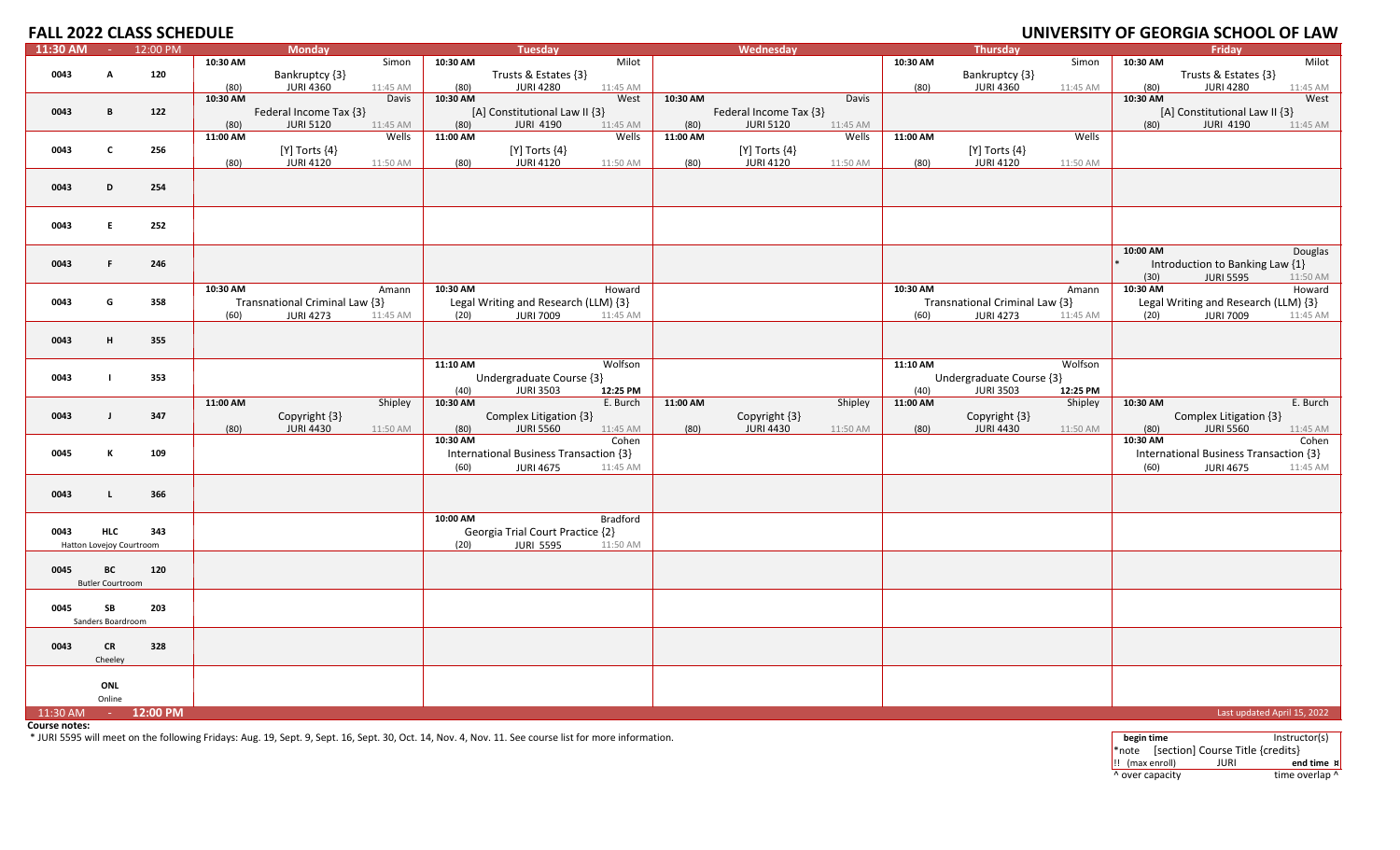|          |                                        | <b>FALL 2022 CLASS SCHEDULE</b> |                  |                                                    |                          |                  |                                                            |                      |                  |                                            |                     |                  |                                                    |                     |                  | UNIVERSITY OF GEORGIA SCHOOL OF LAW                        |                      |
|----------|----------------------------------------|---------------------------------|------------------|----------------------------------------------------|--------------------------|------------------|------------------------------------------------------------|----------------------|------------------|--------------------------------------------|---------------------|------------------|----------------------------------------------------|---------------------|------------------|------------------------------------------------------------|----------------------|
| 11:30 AM | $\sim 100$                             | 12:00 PM                        |                  | <b>Monday</b>                                      |                          |                  | Tuesday                                                    |                      |                  | Wednesday                                  |                     |                  | Thursday                                           |                     |                  | Fridav                                                     |                      |
| 0043     | A                                      | 120                             | 10:30 AM         | Bankruptcy {3}                                     | Simon                    | 10:30 AM         | Trusts & Estates {3}                                       | Milot                |                  |                                            |                     | 10:30 AM         | Bankruptcy {3}                                     | Simon               | 10:30 AM         | Trusts & Estates {3}                                       | Milot                |
|          |                                        |                                 | (80)<br>10:30 AM | <b>JURI 4360</b>                                   | 11:45 AM<br><b>Davis</b> | (80)<br>10:30 AM | <b>JURI 4280</b>                                           | 11:45 AM<br>West     | 10:30 AM         |                                            | Davis               | (80)             | <b>JURI 4360</b>                                   | 11:45 AM            | (80)<br>10:30 AM | <b>JURI 4280</b>                                           | 11:45 AM<br>West     |
| 0043     | B                                      | 122                             | (80)             | Federal Income Tax {3}<br><b>JURI 5120</b>         | 11:45 AM                 | (80)             | [A] Constitutional Law II {3}<br><b>JURI 4190</b>          | 11:45 AM             | (80)             | Federal Income Tax {3}<br><b>JURI 5120</b> | 11:45 AM            |                  |                                                    |                     | (80)             | [A] Constitutional Law II {3}<br><b>JURI 4190</b>          | 11:45 AM             |
|          |                                        |                                 | 11:00 AM         |                                                    | Wells                    | 11:00 AM         |                                                            | Wells                | 11:00 AM         |                                            | Wells               | 11:00 AM         |                                                    | Wells               |                  |                                                            |                      |
| 0043     | $\mathbf{C}$                           | 256                             | (80)             | [Y] Torts $\{4\}$<br><b>JURI 4120</b>              | 11:50 AM                 | (80)             | $[Y]$ Torts $\{4\}$<br>JURI 4120                           | 11:50 AM             | (80)             | $[Y]$ Torts $\{4\}$<br>JURI 4120           | 11:50 AM            | (80)             | $[Y]$ Torts $\{4\}$<br><b>JURI 4120</b>            | 11:50 AM            |                  |                                                            |                      |
| 0043     | D                                      | 254                             |                  |                                                    |                          |                  |                                                            |                      |                  |                                            |                     |                  |                                                    |                     |                  |                                                            |                      |
| 0043     | E.                                     | 252                             |                  |                                                    |                          |                  |                                                            |                      |                  |                                            |                     |                  |                                                    |                     |                  |                                                            |                      |
| 0043     | F.                                     | 246                             |                  |                                                    |                          |                  |                                                            |                      |                  |                                            |                     |                  |                                                    |                     | 10:00 AM<br>(30) | Introduction to Banking Law {1}<br><b>JURI 5595</b>        | Douglas<br>11:50 AM  |
| 0043     | G                                      | 358                             | 10:30 AM<br>(60) | Transnational Criminal Law {3}<br><b>JURI 4273</b> | Amann<br>11:45 AM        | 10:30 AM<br>(20) | Legal Writing and Research (LLM) {3}<br><b>JURI 7009</b>   | Howard<br>11:45 AM   |                  |                                            |                     | 10:30 AM<br>(60) | Transnational Criminal Law {3}<br><b>JURI 4273</b> | Amann<br>11:45 AM   | 10:30 AM<br>(20) | Legal Writing and Research (LLM) {3}<br><b>JURI 7009</b>   | Howard<br>11:45 AM   |
| 0043     | H                                      | 355                             |                  |                                                    |                          |                  |                                                            |                      |                  |                                            |                     |                  |                                                    |                     |                  |                                                            |                      |
| 0043     | $\blacksquare$                         | 353                             |                  |                                                    |                          | 11:10 AM<br>(40) | Undergraduate Course {3}<br><b>JURI 3503</b>               | Wolfson<br>12:25 PM  |                  |                                            |                     | 11:10 AM<br>(40) | Undergraduate Course {3}<br><b>JURI 3503</b>       | Wolfson<br>12:25 PM |                  |                                                            |                      |
| 0043     | $\mathbf{I}$                           | 347                             | 11:00 AM<br>(80) | Copyright {3}<br><b>JURI 4430</b>                  | Shipley<br>11:50 AM      | 10:30 AM<br>(80) | Complex Litigation {3}<br><b>JURI 5560</b>                 | E. Burch<br>11:45 AM | 11:00 AM<br>(80) | Copyright {3}<br><b>JURI 4430</b>          | Shipley<br>11:50 AM | 11:00 AM<br>(80) | Copyright {3}<br><b>JURI 4430</b>                  | Shipley<br>11:50 AM | 10:30 AM<br>(80) | Complex Litigation {3}<br><b>JURI 5560</b>                 | E. Burch<br>11:45 AM |
| 0045     | К                                      | 109                             |                  |                                                    |                          | 10:30 AM<br>(60) | International Business Transaction {3}<br><b>JURI 4675</b> | Cohen<br>11:45 AM    |                  |                                            |                     |                  |                                                    |                     | 10:30 AM<br>(60) | International Business Transaction {3}<br><b>JURI 4675</b> | Cohen<br>11:45 AM    |
| 0043     | $\mathbf{L}$                           | 366                             |                  |                                                    |                          |                  |                                                            |                      |                  |                                            |                     |                  |                                                    |                     |                  |                                                            |                      |
| 0043     | <b>HLC</b><br>Hatton Lovejoy Courtroom | 343                             |                  |                                                    |                          | 10:00 AM<br>(20) | Georgia Trial Court Practice {2}<br><b>JURI 5595</b>       | Bradford<br>11:50 AM |                  |                                            |                     |                  |                                                    |                     |                  |                                                            |                      |
| 0045     | ВC<br><b>Butler Courtroom</b>          | 120                             |                  |                                                    |                          |                  |                                                            |                      |                  |                                            |                     |                  |                                                    |                     |                  |                                                            |                      |
| 0045     | SB<br>Sanders Boardroom                | 203                             |                  |                                                    |                          |                  |                                                            |                      |                  |                                            |                     |                  |                                                    |                     |                  |                                                            |                      |
| 0043     | <b>CR</b><br>Cheeley                   | 328                             |                  |                                                    |                          |                  |                                                            |                      |                  |                                            |                     |                  |                                                    |                     |                  |                                                            |                      |
|          | ONL<br>Online                          |                                 |                  |                                                    |                          |                  |                                                            |                      |                  |                                            |                     |                  |                                                    |                     |                  |                                                            |                      |
| 11:30 AM | <b>Contract</b>                        | 12:00 PM                        |                  |                                                    |                          |                  |                                                            |                      |                  |                                            |                     |                  |                                                    |                     |                  | Last updated April 15, 2022                                |                      |

**Course notes:**

\* JURI 5595 will meet on the following Fridays: Aug. 19, Sept. 9, Sept. 16, Sept. 30, Oct. 14, Nov. 4, Nov. 11. See course list for more information. **begin time** Instructor(s)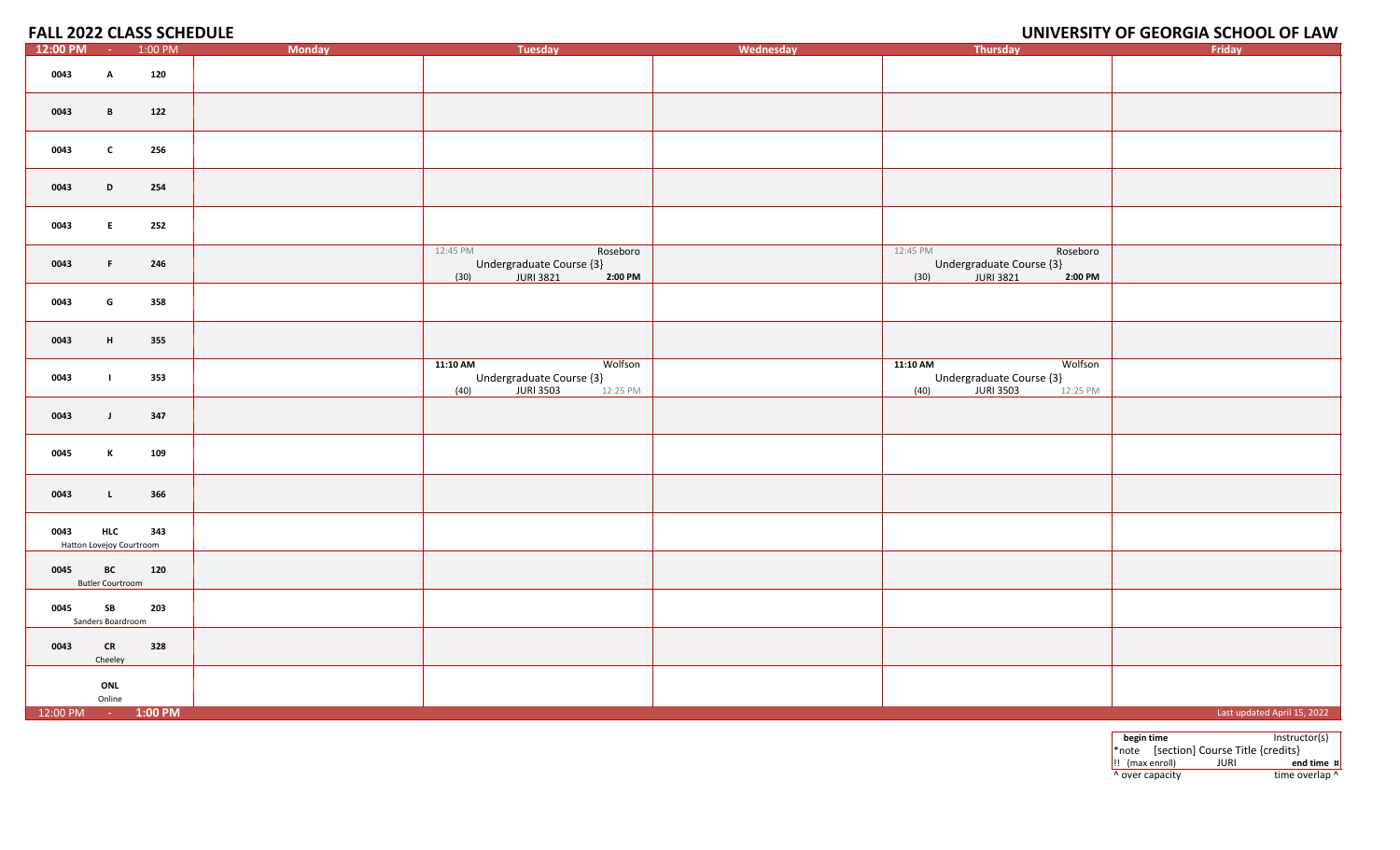### **OF GEORGIA SCHOOL OF LAW**

| 12:00 PM           | $\sim 10^{-1}$                         | 1:00 PM | <b>Monday</b> | <b>Tuesday</b>                                                                   | Wednesday | Thursday                                                                         | Friday                      |
|--------------------|----------------------------------------|---------|---------------|----------------------------------------------------------------------------------|-----------|----------------------------------------------------------------------------------|-----------------------------|
| 0043               | $\mathbf{A}$                           | 120     |               |                                                                                  |           |                                                                                  |                             |
| 0043               | B                                      | 122     |               |                                                                                  |           |                                                                                  |                             |
| 0043               | $\mathbf{c}$                           | 256     |               |                                                                                  |           |                                                                                  |                             |
| 0043               | D                                      | 254     |               |                                                                                  |           |                                                                                  |                             |
| 0043               | E                                      | 252     |               |                                                                                  |           |                                                                                  |                             |
| 0043               | F                                      | 246     |               | 12:45 PM<br>Roseboro<br>Undergraduate Course {3}<br>(30)<br>2:00 PM              |           | 12:45 PM<br>Roseboro<br>Undergraduate Course {3}<br>(30)<br>2:00 PM              |                             |
| 0043               | G                                      | 358     |               |                                                                                  |           |                                                                                  |                             |
| 0043               | H                                      | 355     |               |                                                                                  |           |                                                                                  |                             |
| 0043               | $\mathbf{L}$                           | 353     |               | 11:10 AM<br>Wolfson<br>Undergraduate Course {3}<br>JURI 3503<br>12:25 PM<br>(40) |           | 11:10 AM<br>Wolfson<br>Undergraduate Course {3}<br>JURI 3503<br>12:25 PM<br>(40) |                             |
| 0043               | $\mathbf{J}$                           | 347     |               |                                                                                  |           |                                                                                  |                             |
| 0045               | K                                      | 109     |               |                                                                                  |           |                                                                                  |                             |
| 0043               | $\mathbf{L}$                           | 366     |               |                                                                                  |           |                                                                                  |                             |
| 0043               | <b>HLC</b><br>Hatton Lovejoy Courtroom | 343     |               |                                                                                  |           |                                                                                  |                             |
| 0045               | BC<br><b>Butler Courtroom</b>          | 120     |               |                                                                                  |           |                                                                                  |                             |
| 0045               | SB<br>Sanders Boardroom                | 203     |               |                                                                                  |           |                                                                                  |                             |
| 0043               | ${\sf CR}$<br>Cheeley                  | 328     |               |                                                                                  |           |                                                                                  |                             |
|                    | ONL<br>Online                          |         |               |                                                                                  |           |                                                                                  |                             |
| 12:00 PM - 1:00 PM |                                        |         |               |                                                                                  |           |                                                                                  | Last updated April 15, 2022 |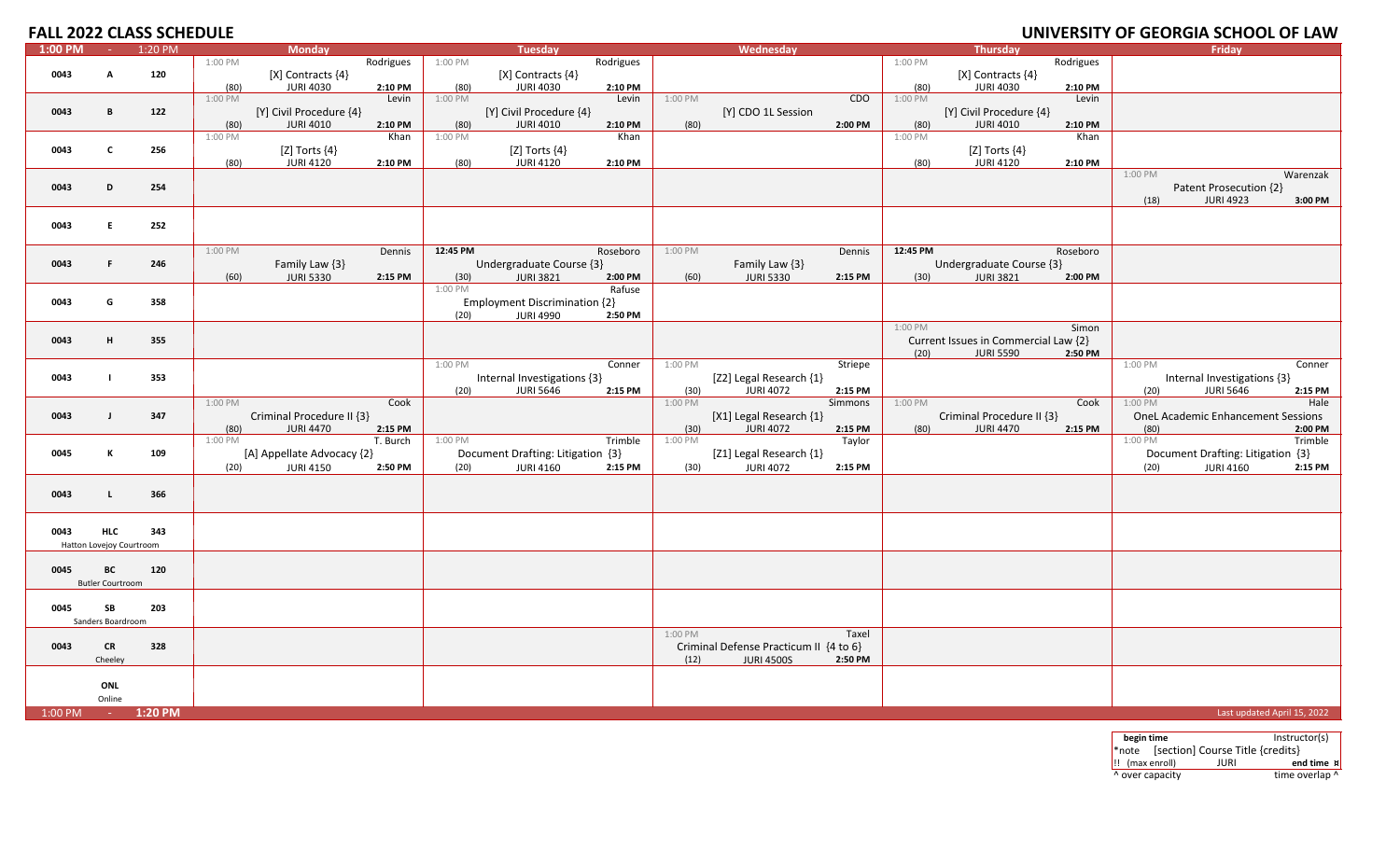### **OF GEORGIA SCHOOL OF LAW**

| $1:00$ PM | $\sim$                   | 1:20 PM |                 | <b>Monday</b>              |           |          | <b>Tuesday</b>                    |           |                 | Wednesday                              |            |          | <b>Thursday</b>                      |           |                 | Friday                                                |                    |
|-----------|--------------------------|---------|-----------------|----------------------------|-----------|----------|-----------------------------------|-----------|-----------------|----------------------------------------|------------|----------|--------------------------------------|-----------|-----------------|-------------------------------------------------------|--------------------|
|           |                          |         | 1:00 PM         |                            | Rodrigues | 1:00 PM  |                                   | Rodrigues |                 |                                        |            | 1:00 PM  |                                      | Rodrigues |                 |                                                       |                    |
| 0043      | A                        | 120     |                 | [X] Contracts {4}          |           |          | [X] Contracts {4}                 |           |                 |                                        |            |          | [X] Contracts {4}                    |           |                 |                                                       |                    |
|           |                          |         | (80)            | <b>JURI 4030</b>           | 2:10 PM   | (80)     | <b>JURI 4030</b>                  | 2:10 PM   |                 |                                        |            | (80)     | <b>JURI 4030</b>                     | 2:10 PM   |                 |                                                       |                    |
|           |                          |         | 1:00 PM         |                            | Levin     | 1:00 PM  |                                   | Levin     | 1:00 PM         |                                        | <b>CDO</b> | 1:00 PM  |                                      | Levin     |                 |                                                       |                    |
| 0043      | B                        | 122     |                 | [Y] Civil Procedure {4}    |           |          | [Y] Civil Procedure {4}           |           |                 | [Y] CDO 1L Session                     |            |          | [Y] Civil Procedure {4}              |           |                 |                                                       |                    |
|           |                          |         | (80)            | <b>JURI 4010</b>           | 2:10 PM   | (80)     | <b>JURI 4010</b>                  | 2:10 PM   | (80)            |                                        | 2:00 PM    | (80)     | <b>JURI 4010</b>                     | 2:10 PM   |                 |                                                       |                    |
|           |                          |         | 1:00 PM         |                            | Khan      | 1:00 PM  |                                   | Khan      |                 |                                        |            | 1:00 PM  |                                      | Khan      |                 |                                                       |                    |
| 0043      | $\mathbf{c}$             | 256     |                 | [Z] Torts {4}              |           |          | [Z] Torts $\{4\}$                 |           |                 |                                        |            |          | [Z] Torts $\{4\}$                    |           |                 |                                                       |                    |
|           |                          |         | (80)            | <b>JURI 4120</b>           | 2:10 PM   | (80)     | <b>JURI 4120</b>                  | 2:10 PM   |                 |                                        |            | (80)     | <b>JURI 4120</b>                     | 2:10 PM   |                 |                                                       |                    |
|           |                          |         |                 |                            |           |          |                                   |           |                 |                                        |            |          |                                      |           | 1:00 PM         |                                                       | Warenzak           |
| 0043      | D                        | 254     |                 |                            |           |          |                                   |           |                 |                                        |            |          |                                      |           |                 | Patent Prosecution {2}                                |                    |
|           |                          |         |                 |                            |           |          |                                   |           |                 |                                        |            |          |                                      |           | (18)            | <b>JURI 4923</b>                                      | 3:00 PM            |
| 0043      | E.                       | 252     |                 |                            |           |          |                                   |           |                 |                                        |            |          |                                      |           |                 |                                                       |                    |
|           |                          |         |                 |                            |           |          |                                   |           |                 |                                        |            |          |                                      |           |                 |                                                       |                    |
|           |                          |         | 1:00 PM         |                            | Dennis    | 12:45 PM |                                   | Roseboro  | 1:00 PM         |                                        | Dennis     | 12:45 PM |                                      | Roseboro  |                 |                                                       |                    |
| 0043      | F.                       | 246     |                 | Family Law {3}             |           |          | Undergraduate Course {3}          |           |                 | Family Law {3}                         |            |          | Undergraduate Course {3}             |           |                 |                                                       |                    |
|           |                          |         | (60)            | <b>JURI 5330</b>           | 2:15 PM   | (30)     | <b>JURI 3821</b>                  | 2:00 PM   | (60)            | <b>JURI 5330</b>                       | 2:15 PM    | (30)     | <b>JURI 3821</b>                     | 2:00 PM   |                 |                                                       |                    |
|           |                          |         |                 |                            |           | 1:00 PM  |                                   | Rafuse    |                 |                                        |            |          |                                      |           |                 |                                                       |                    |
| 0043      | G                        | 358     |                 |                            |           |          | Employment Discrimination {2}     |           |                 |                                        |            |          |                                      |           |                 |                                                       |                    |
|           |                          |         |                 |                            |           | (20)     | <b>JURI 4990</b>                  | 2:50 PM   |                 |                                        |            |          |                                      |           |                 |                                                       |                    |
|           |                          |         |                 |                            |           |          |                                   |           |                 |                                        |            | 1:00 PM  |                                      | Simon     |                 |                                                       |                    |
| 0043      | н.                       | 355     |                 |                            |           |          |                                   |           |                 |                                        |            |          | Current Issues in Commercial Law {2} |           |                 |                                                       |                    |
|           |                          |         |                 |                            |           |          |                                   |           |                 |                                        |            | (20)     | <b>JURI 5590</b>                     | 2:50 PM   |                 |                                                       |                    |
|           |                          |         |                 |                            |           | 1:00 PM  |                                   | Conner    | 1:00 PM         |                                        | Striepe    |          |                                      |           | 1:00 PM         |                                                       | Conner             |
| 0043      |                          | 353     |                 |                            |           |          | Internal Investigations {3}       |           |                 | [Z2] Legal Research {1}                |            |          |                                      |           |                 | Internal Investigations {3}                           |                    |
|           |                          |         |                 |                            |           | (20)     | <b>JURI 5646</b>                  | 2:15 PM   | (30)            | <b>JURI 4072</b>                       | 2:15 PM    |          |                                      |           | (20)            | <b>JURI 5646</b>                                      | 2:15 PM            |
|           |                          |         | 1:00 PM         |                            | Cook      |          |                                   |           | 1:00 PM         |                                        | Simmons    | 1:00 PM  |                                      | Cook      | 1:00 PM         |                                                       | Hale               |
| 0043      | $\blacksquare$           | 347     |                 | Criminal Procedure II {3}  |           |          |                                   |           |                 | [X1] Legal Research {1}                |            |          | Criminal Procedure II {3}            |           |                 | <b>OneL Academic Enhancement Sessions</b>             |                    |
|           |                          |         | (80)<br>1:00 PM | <b>JURI 4470</b>           | 2:15 PM   | 1:00 PM  |                                   | Trimble   | (30)<br>1:00 PM | <b>JURI 4072</b>                       | 2:15 PM    | (80)     | <b>JURI 4470</b>                     | 2:15 PM   | (80)<br>1:00 PM |                                                       | 2:00 PM<br>Trimble |
| 0045      | к                        | 109     |                 |                            | T. Burch  |          | Document Drafting: Litigation {3} |           |                 | [Z1] Legal Research {1}                | Taylor     |          |                                      |           |                 |                                                       |                    |
|           |                          |         |                 | [A] Appellate Advocacy {2} |           |          | <b>JURI 4160</b>                  |           |                 |                                        |            |          |                                      |           |                 | Document Drafting: Litigation {3}<br><b>JURI 4160</b> |                    |
|           |                          |         | (20)            | <b>JURI 4150</b>           | 2:50 PM   | (20)     |                                   | 2:15 PM   | (30)            | <b>JURI 4072</b>                       | 2:15 PM    |          |                                      |           | (20)            |                                                       | 2:15 PM            |
| 0043      | L.                       | 366     |                 |                            |           |          |                                   |           |                 |                                        |            |          |                                      |           |                 |                                                       |                    |
|           |                          |         |                 |                            |           |          |                                   |           |                 |                                        |            |          |                                      |           |                 |                                                       |                    |
|           |                          |         |                 |                            |           |          |                                   |           |                 |                                        |            |          |                                      |           |                 |                                                       |                    |
| 0043      | <b>HLC</b>               | 343     |                 |                            |           |          |                                   |           |                 |                                        |            |          |                                      |           |                 |                                                       |                    |
|           | Hatton Lovejoy Courtroom |         |                 |                            |           |          |                                   |           |                 |                                        |            |          |                                      |           |                 |                                                       |                    |
|           |                          |         |                 |                            |           |          |                                   |           |                 |                                        |            |          |                                      |           |                 |                                                       |                    |
| 0045      | BC                       | 120     |                 |                            |           |          |                                   |           |                 |                                        |            |          |                                      |           |                 |                                                       |                    |
|           | <b>Butler Courtroom</b>  |         |                 |                            |           |          |                                   |           |                 |                                        |            |          |                                      |           |                 |                                                       |                    |
|           |                          |         |                 |                            |           |          |                                   |           |                 |                                        |            |          |                                      |           |                 |                                                       |                    |
| 0045      | SB                       | 203     |                 |                            |           |          |                                   |           |                 |                                        |            |          |                                      |           |                 |                                                       |                    |
|           | Sanders Boardroom        |         |                 |                            |           |          |                                   |           |                 |                                        |            |          |                                      |           |                 |                                                       |                    |
|           |                          |         |                 |                            |           |          |                                   |           | 1:00 PM         |                                        | Taxel      |          |                                      |           |                 |                                                       |                    |
| 0043      | <b>CR</b>                | 328     |                 |                            |           |          |                                   |           |                 | Criminal Defense Practicum II {4 to 6} |            |          |                                      |           |                 |                                                       |                    |
|           | Cheeley                  |         |                 |                            |           |          |                                   |           | (12)            | <b>JURI 4500S</b>                      | 2:50 PM    |          |                                      |           |                 |                                                       |                    |
|           | ONL                      |         |                 |                            |           |          |                                   |           |                 |                                        |            |          |                                      |           |                 |                                                       |                    |
|           | Online                   |         |                 |                            |           |          |                                   |           |                 |                                        |            |          |                                      |           |                 |                                                       |                    |
|           |                          |         |                 |                            |           |          |                                   |           |                 |                                        |            |          |                                      |           |                 |                                                       |                    |
| $1:00$ PM | <b>Contact Contact</b>   | 1:20 PM |                 |                            |           |          |                                   |           |                 |                                        |            |          |                                      |           |                 | Last updated April 15, 2022                           |                    |

**begin time** Instructor(s) \*note [section] Course Title {credits} !! (max enroll) JURI **end time ¤**

^ over capacity  $\bullet$  time overlap  $\bullet$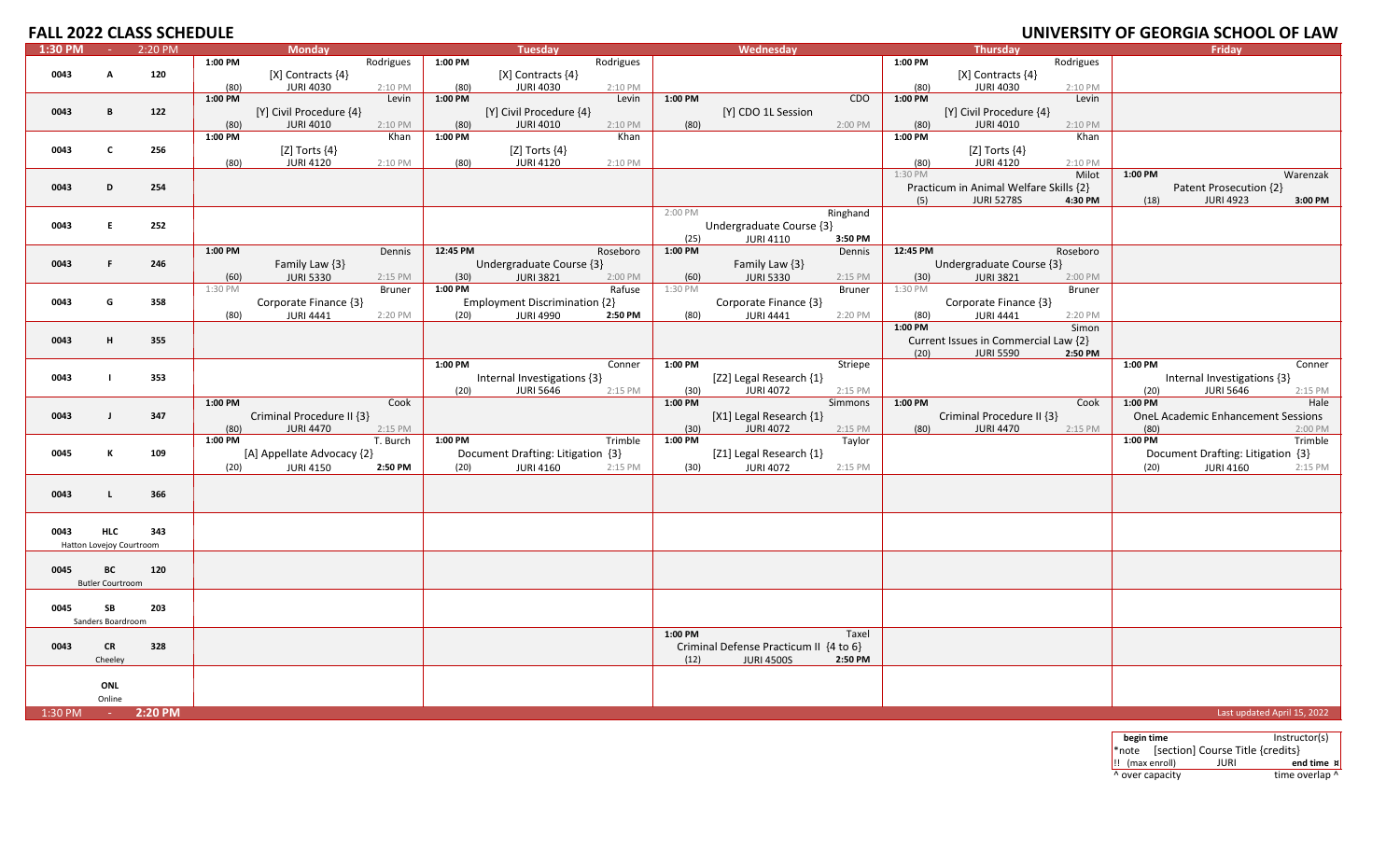| 1:30 PM<br>2:20 PM<br><b>Monday</b><br>Tuesday<br>Wednesday<br>Thursday<br><b>Fridav</b><br><b>Carl</b><br>1:00 PM<br>1:00 PM<br>Rodrigues<br>1:00 PM<br>Rodrigues<br>Rodrigues<br>0043<br>120<br>$[X]$ Contracts $\{4\}$<br>$[X]$ Contracts $\{4\}$<br>$[X]$ Contracts $\{4\}$<br>A<br><b>JURI 4030</b><br><b>JURI 4030</b><br><b>JURI 4030</b><br>(80)<br>(80)<br>2:10 PM<br>(80)<br>2:10 PM<br>2:10 PM<br>1:00 PM<br>1:00 PM<br>1:00 PM<br>CDO<br>1:00 PM<br>Levin<br>Levin<br>Levin<br>[Y] CDO 1L Session<br>[Y] Civil Procedure {4}<br>0043<br>B<br>122<br>[Y] Civil Procedure {4}<br>[Y] Civil Procedure {4}<br><b>JURI 4010</b><br><b>JURI 4010</b><br>2:10 PM<br>(80)<br>2:00 PM<br><b>JURI 4010</b><br>2:10 PM<br>(80)<br>2:10 PM<br>(80)<br>(80)<br>1:00 PM<br>Khan<br>1:00 PM<br>Khan<br>1:00 PM<br>Khan<br>[Z] Torts $\{4\}$<br>[Z] Torts $\{4\}$<br>[Z] Torts $\{4\}$<br>0043<br>C<br>256<br><b>JURI 4120</b><br><b>JURI 4120</b><br>(80)<br><b>JURI 4120</b><br>(80)<br>2:10 PM<br>(80)<br>2:10 PM<br>2:10 PM<br>1:30 PM<br>Milot<br>1:00 PM<br>Warenzak<br>Practicum in Animal Welfare Skills {2}<br>0043<br>D<br>254<br>Patent Prosecution {2}<br><b>JURI 5278S</b><br><b>JURI 4923</b><br>(5)<br>4:30 PM<br>3:00 PM<br>(18)<br>2:00 PM<br>Ringhand<br>0043<br>252<br>Undergraduate Course {3}<br>E<br>(25)<br><b>JURI 4110</b><br>3:50 PM<br>1:00 PM<br>12:45 PM<br>1:00 PM<br>12:45 PM<br>Roseboro<br>Dennis<br>Roseboro<br>Dennis<br>0043<br>246<br>Family Law {3}<br>Undergraduate Course {3}<br>Family Law {3}<br>Undergraduate Course {3}<br>F.<br>(60)<br><b>JURI 5330</b><br>(30)<br><b>JURI 3821</b><br>2:00 PM<br><b>JURI 5330</b><br>(30)<br><b>JURI 3821</b><br>2:15 PM<br>(60)<br>2:15 PM<br>2:00 PM<br>Rafuse<br>1:00 PM<br>1:30 PM<br>Bruner<br><b>Bruner</b><br>1:30 PM<br><b>Bruner</b><br>1:30 PM<br>Corporate Finance {3}<br><b>Employment Discrimination {2}</b><br>Corporate Finance {3}<br>Corporate Finance {3}<br>G<br>358<br>0043<br>(80)<br><b>JURI 4441</b><br>(20)<br><b>JURI 4990</b><br>2:50 PM<br>(80)<br><b>JURI 4441</b><br>2:20 PM<br>(80)<br><b>JURI 4441</b><br>2:20 PM<br>2:20 PM<br>1:00 PM<br>Simon<br>0043<br>355<br>Current Issues in Commercial Law {2}<br>н<br>(20)<br><b>JURI 5590</b><br>2:50 PM<br>1:00 PM<br>1:00 PM<br>Conner<br>Striepe<br>1:00 PM<br>Conner<br>[Z2] Legal Research {1}<br>Internal Investigations {3}<br>Internal Investigations {3}<br>0043<br>353<br>$\blacksquare$<br><b>JURI 5646</b><br><b>JURI 4072</b><br><b>JURI 5646</b><br>(20)<br>2:15 PM<br>(30)<br>(20)<br>2:15 PM<br>2:15 PM<br>$1:00$ PM<br>1:00 PM<br>1:00 PM<br>Simmons<br>1:00 PM<br>Hale<br>Cook<br>Cook<br>Criminal Procedure II {3}<br>[X1] Legal Research {1}<br>Criminal Procedure II {3}<br><b>OneL Academic Enhancement Sessions</b><br>0043<br>$\blacksquare$<br>347<br><b>JURI 4470</b><br><b>JURI 4072</b><br><b>JURI 4470</b><br>(80)<br>2:15 PM<br>(30)<br>2:15 PM<br>(80)<br>2:15 PM<br>(80)<br>2:00 PM<br>1:00 PM<br>1:00 PM<br>$1:00$ PM<br>$1:00$ PM<br>T. Burch<br>Trimble<br>Taylor<br>Trimble<br>[Z1] Legal Research {1}<br>К<br>[A] Appellate Advocacy {2}<br>Document Drafting: Litigation {3}<br>Document Drafting: Litigation {3}<br>0045<br>109<br><b>JURI 4072</b><br><b>JURI 4150</b><br><b>JURI 4160</b><br><b>JURI 4160</b><br>2:50 PM<br>(20)<br>(20)<br>2:15 PM<br>(20)<br>2:15 PM<br>(30)<br>2:15 PM<br>0043<br>366<br>$\blacksquare$<br><b>HLC</b><br>343<br>0043<br>Hatton Lovejoy Courtroom<br>0045<br>BC<br>120<br><b>Butler Courtroom</b><br>0045<br>SB<br>203<br>Sanders Boardroom<br>1:00 PM<br>Taxel<br>0043<br>CR<br>328<br>Criminal Defense Practicum II {4 to 6}<br>2:50 PM<br>Cheeley<br>(12)<br><b>JURI 4500S</b><br>ONL<br>Online<br>2:20 PM<br>Last updated April 15, 2022<br>1:30 PM<br><b>COL</b> | <b>FALL 2022 CLASS SCHEDULE</b> |  |  |  |  |  |  |  | UNIVERSITY OF GEORGIA SCHOOL OF LAW |  |
|-------------------------------------------------------------------------------------------------------------------------------------------------------------------------------------------------------------------------------------------------------------------------------------------------------------------------------------------------------------------------------------------------------------------------------------------------------------------------------------------------------------------------------------------------------------------------------------------------------------------------------------------------------------------------------------------------------------------------------------------------------------------------------------------------------------------------------------------------------------------------------------------------------------------------------------------------------------------------------------------------------------------------------------------------------------------------------------------------------------------------------------------------------------------------------------------------------------------------------------------------------------------------------------------------------------------------------------------------------------------------------------------------------------------------------------------------------------------------------------------------------------------------------------------------------------------------------------------------------------------------------------------------------------------------------------------------------------------------------------------------------------------------------------------------------------------------------------------------------------------------------------------------------------------------------------------------------------------------------------------------------------------------------------------------------------------------------------------------------------------------------------------------------------------------------------------------------------------------------------------------------------------------------------------------------------------------------------------------------------------------------------------------------------------------------------------------------------------------------------------------------------------------------------------------------------------------------------------------------------------------------------------------------------------------------------------------------------------------------------------------------------------------------------------------------------------------------------------------------------------------------------------------------------------------------------------------------------------------------------------------------------------------------------------------------------------------------------------------------------------------------------------------------------------------------------------------------------------------------------------------------------------------------------------------------------------------------------------------------------------------------------------------------------------------------------------------------------------------------------------------------------------------------------------------------------------------------------------------------------------------------------------------------------------------------------------------------------------------------------------------------------------------------------------------------|---------------------------------|--|--|--|--|--|--|--|-------------------------------------|--|
|                                                                                                                                                                                                                                                                                                                                                                                                                                                                                                                                                                                                                                                                                                                                                                                                                                                                                                                                                                                                                                                                                                                                                                                                                                                                                                                                                                                                                                                                                                                                                                                                                                                                                                                                                                                                                                                                                                                                                                                                                                                                                                                                                                                                                                                                                                                                                                                                                                                                                                                                                                                                                                                                                                                                                                                                                                                                                                                                                                                                                                                                                                                                                                                                                                                                                                                                                                                                                                                                                                                                                                                                                                                                                                                                                                                                       |                                 |  |  |  |  |  |  |  |                                     |  |
|                                                                                                                                                                                                                                                                                                                                                                                                                                                                                                                                                                                                                                                                                                                                                                                                                                                                                                                                                                                                                                                                                                                                                                                                                                                                                                                                                                                                                                                                                                                                                                                                                                                                                                                                                                                                                                                                                                                                                                                                                                                                                                                                                                                                                                                                                                                                                                                                                                                                                                                                                                                                                                                                                                                                                                                                                                                                                                                                                                                                                                                                                                                                                                                                                                                                                                                                                                                                                                                                                                                                                                                                                                                                                                                                                                                                       |                                 |  |  |  |  |  |  |  |                                     |  |
|                                                                                                                                                                                                                                                                                                                                                                                                                                                                                                                                                                                                                                                                                                                                                                                                                                                                                                                                                                                                                                                                                                                                                                                                                                                                                                                                                                                                                                                                                                                                                                                                                                                                                                                                                                                                                                                                                                                                                                                                                                                                                                                                                                                                                                                                                                                                                                                                                                                                                                                                                                                                                                                                                                                                                                                                                                                                                                                                                                                                                                                                                                                                                                                                                                                                                                                                                                                                                                                                                                                                                                                                                                                                                                                                                                                                       |                                 |  |  |  |  |  |  |  |                                     |  |
|                                                                                                                                                                                                                                                                                                                                                                                                                                                                                                                                                                                                                                                                                                                                                                                                                                                                                                                                                                                                                                                                                                                                                                                                                                                                                                                                                                                                                                                                                                                                                                                                                                                                                                                                                                                                                                                                                                                                                                                                                                                                                                                                                                                                                                                                                                                                                                                                                                                                                                                                                                                                                                                                                                                                                                                                                                                                                                                                                                                                                                                                                                                                                                                                                                                                                                                                                                                                                                                                                                                                                                                                                                                                                                                                                                                                       |                                 |  |  |  |  |  |  |  |                                     |  |
|                                                                                                                                                                                                                                                                                                                                                                                                                                                                                                                                                                                                                                                                                                                                                                                                                                                                                                                                                                                                                                                                                                                                                                                                                                                                                                                                                                                                                                                                                                                                                                                                                                                                                                                                                                                                                                                                                                                                                                                                                                                                                                                                                                                                                                                                                                                                                                                                                                                                                                                                                                                                                                                                                                                                                                                                                                                                                                                                                                                                                                                                                                                                                                                                                                                                                                                                                                                                                                                                                                                                                                                                                                                                                                                                                                                                       |                                 |  |  |  |  |  |  |  |                                     |  |
|                                                                                                                                                                                                                                                                                                                                                                                                                                                                                                                                                                                                                                                                                                                                                                                                                                                                                                                                                                                                                                                                                                                                                                                                                                                                                                                                                                                                                                                                                                                                                                                                                                                                                                                                                                                                                                                                                                                                                                                                                                                                                                                                                                                                                                                                                                                                                                                                                                                                                                                                                                                                                                                                                                                                                                                                                                                                                                                                                                                                                                                                                                                                                                                                                                                                                                                                                                                                                                                                                                                                                                                                                                                                                                                                                                                                       |                                 |  |  |  |  |  |  |  |                                     |  |
|                                                                                                                                                                                                                                                                                                                                                                                                                                                                                                                                                                                                                                                                                                                                                                                                                                                                                                                                                                                                                                                                                                                                                                                                                                                                                                                                                                                                                                                                                                                                                                                                                                                                                                                                                                                                                                                                                                                                                                                                                                                                                                                                                                                                                                                                                                                                                                                                                                                                                                                                                                                                                                                                                                                                                                                                                                                                                                                                                                                                                                                                                                                                                                                                                                                                                                                                                                                                                                                                                                                                                                                                                                                                                                                                                                                                       |                                 |  |  |  |  |  |  |  |                                     |  |
|                                                                                                                                                                                                                                                                                                                                                                                                                                                                                                                                                                                                                                                                                                                                                                                                                                                                                                                                                                                                                                                                                                                                                                                                                                                                                                                                                                                                                                                                                                                                                                                                                                                                                                                                                                                                                                                                                                                                                                                                                                                                                                                                                                                                                                                                                                                                                                                                                                                                                                                                                                                                                                                                                                                                                                                                                                                                                                                                                                                                                                                                                                                                                                                                                                                                                                                                                                                                                                                                                                                                                                                                                                                                                                                                                                                                       |                                 |  |  |  |  |  |  |  |                                     |  |
|                                                                                                                                                                                                                                                                                                                                                                                                                                                                                                                                                                                                                                                                                                                                                                                                                                                                                                                                                                                                                                                                                                                                                                                                                                                                                                                                                                                                                                                                                                                                                                                                                                                                                                                                                                                                                                                                                                                                                                                                                                                                                                                                                                                                                                                                                                                                                                                                                                                                                                                                                                                                                                                                                                                                                                                                                                                                                                                                                                                                                                                                                                                                                                                                                                                                                                                                                                                                                                                                                                                                                                                                                                                                                                                                                                                                       |                                 |  |  |  |  |  |  |  |                                     |  |
|                                                                                                                                                                                                                                                                                                                                                                                                                                                                                                                                                                                                                                                                                                                                                                                                                                                                                                                                                                                                                                                                                                                                                                                                                                                                                                                                                                                                                                                                                                                                                                                                                                                                                                                                                                                                                                                                                                                                                                                                                                                                                                                                                                                                                                                                                                                                                                                                                                                                                                                                                                                                                                                                                                                                                                                                                                                                                                                                                                                                                                                                                                                                                                                                                                                                                                                                                                                                                                                                                                                                                                                                                                                                                                                                                                                                       |                                 |  |  |  |  |  |  |  |                                     |  |
|                                                                                                                                                                                                                                                                                                                                                                                                                                                                                                                                                                                                                                                                                                                                                                                                                                                                                                                                                                                                                                                                                                                                                                                                                                                                                                                                                                                                                                                                                                                                                                                                                                                                                                                                                                                                                                                                                                                                                                                                                                                                                                                                                                                                                                                                                                                                                                                                                                                                                                                                                                                                                                                                                                                                                                                                                                                                                                                                                                                                                                                                                                                                                                                                                                                                                                                                                                                                                                                                                                                                                                                                                                                                                                                                                                                                       |                                 |  |  |  |  |  |  |  |                                     |  |
|                                                                                                                                                                                                                                                                                                                                                                                                                                                                                                                                                                                                                                                                                                                                                                                                                                                                                                                                                                                                                                                                                                                                                                                                                                                                                                                                                                                                                                                                                                                                                                                                                                                                                                                                                                                                                                                                                                                                                                                                                                                                                                                                                                                                                                                                                                                                                                                                                                                                                                                                                                                                                                                                                                                                                                                                                                                                                                                                                                                                                                                                                                                                                                                                                                                                                                                                                                                                                                                                                                                                                                                                                                                                                                                                                                                                       |                                 |  |  |  |  |  |  |  |                                     |  |
|                                                                                                                                                                                                                                                                                                                                                                                                                                                                                                                                                                                                                                                                                                                                                                                                                                                                                                                                                                                                                                                                                                                                                                                                                                                                                                                                                                                                                                                                                                                                                                                                                                                                                                                                                                                                                                                                                                                                                                                                                                                                                                                                                                                                                                                                                                                                                                                                                                                                                                                                                                                                                                                                                                                                                                                                                                                                                                                                                                                                                                                                                                                                                                                                                                                                                                                                                                                                                                                                                                                                                                                                                                                                                                                                                                                                       |                                 |  |  |  |  |  |  |  |                                     |  |
|                                                                                                                                                                                                                                                                                                                                                                                                                                                                                                                                                                                                                                                                                                                                                                                                                                                                                                                                                                                                                                                                                                                                                                                                                                                                                                                                                                                                                                                                                                                                                                                                                                                                                                                                                                                                                                                                                                                                                                                                                                                                                                                                                                                                                                                                                                                                                                                                                                                                                                                                                                                                                                                                                                                                                                                                                                                                                                                                                                                                                                                                                                                                                                                                                                                                                                                                                                                                                                                                                                                                                                                                                                                                                                                                                                                                       |                                 |  |  |  |  |  |  |  |                                     |  |
|                                                                                                                                                                                                                                                                                                                                                                                                                                                                                                                                                                                                                                                                                                                                                                                                                                                                                                                                                                                                                                                                                                                                                                                                                                                                                                                                                                                                                                                                                                                                                                                                                                                                                                                                                                                                                                                                                                                                                                                                                                                                                                                                                                                                                                                                                                                                                                                                                                                                                                                                                                                                                                                                                                                                                                                                                                                                                                                                                                                                                                                                                                                                                                                                                                                                                                                                                                                                                                                                                                                                                                                                                                                                                                                                                                                                       |                                 |  |  |  |  |  |  |  |                                     |  |
|                                                                                                                                                                                                                                                                                                                                                                                                                                                                                                                                                                                                                                                                                                                                                                                                                                                                                                                                                                                                                                                                                                                                                                                                                                                                                                                                                                                                                                                                                                                                                                                                                                                                                                                                                                                                                                                                                                                                                                                                                                                                                                                                                                                                                                                                                                                                                                                                                                                                                                                                                                                                                                                                                                                                                                                                                                                                                                                                                                                                                                                                                                                                                                                                                                                                                                                                                                                                                                                                                                                                                                                                                                                                                                                                                                                                       |                                 |  |  |  |  |  |  |  |                                     |  |
|                                                                                                                                                                                                                                                                                                                                                                                                                                                                                                                                                                                                                                                                                                                                                                                                                                                                                                                                                                                                                                                                                                                                                                                                                                                                                                                                                                                                                                                                                                                                                                                                                                                                                                                                                                                                                                                                                                                                                                                                                                                                                                                                                                                                                                                                                                                                                                                                                                                                                                                                                                                                                                                                                                                                                                                                                                                                                                                                                                                                                                                                                                                                                                                                                                                                                                                                                                                                                                                                                                                                                                                                                                                                                                                                                                                                       |                                 |  |  |  |  |  |  |  |                                     |  |
|                                                                                                                                                                                                                                                                                                                                                                                                                                                                                                                                                                                                                                                                                                                                                                                                                                                                                                                                                                                                                                                                                                                                                                                                                                                                                                                                                                                                                                                                                                                                                                                                                                                                                                                                                                                                                                                                                                                                                                                                                                                                                                                                                                                                                                                                                                                                                                                                                                                                                                                                                                                                                                                                                                                                                                                                                                                                                                                                                                                                                                                                                                                                                                                                                                                                                                                                                                                                                                                                                                                                                                                                                                                                                                                                                                                                       |                                 |  |  |  |  |  |  |  |                                     |  |
|                                                                                                                                                                                                                                                                                                                                                                                                                                                                                                                                                                                                                                                                                                                                                                                                                                                                                                                                                                                                                                                                                                                                                                                                                                                                                                                                                                                                                                                                                                                                                                                                                                                                                                                                                                                                                                                                                                                                                                                                                                                                                                                                                                                                                                                                                                                                                                                                                                                                                                                                                                                                                                                                                                                                                                                                                                                                                                                                                                                                                                                                                                                                                                                                                                                                                                                                                                                                                                                                                                                                                                                                                                                                                                                                                                                                       |                                 |  |  |  |  |  |  |  |                                     |  |
|                                                                                                                                                                                                                                                                                                                                                                                                                                                                                                                                                                                                                                                                                                                                                                                                                                                                                                                                                                                                                                                                                                                                                                                                                                                                                                                                                                                                                                                                                                                                                                                                                                                                                                                                                                                                                                                                                                                                                                                                                                                                                                                                                                                                                                                                                                                                                                                                                                                                                                                                                                                                                                                                                                                                                                                                                                                                                                                                                                                                                                                                                                                                                                                                                                                                                                                                                                                                                                                                                                                                                                                                                                                                                                                                                                                                       |                                 |  |  |  |  |  |  |  |                                     |  |
|                                                                                                                                                                                                                                                                                                                                                                                                                                                                                                                                                                                                                                                                                                                                                                                                                                                                                                                                                                                                                                                                                                                                                                                                                                                                                                                                                                                                                                                                                                                                                                                                                                                                                                                                                                                                                                                                                                                                                                                                                                                                                                                                                                                                                                                                                                                                                                                                                                                                                                                                                                                                                                                                                                                                                                                                                                                                                                                                                                                                                                                                                                                                                                                                                                                                                                                                                                                                                                                                                                                                                                                                                                                                                                                                                                                                       |                                 |  |  |  |  |  |  |  |                                     |  |
|                                                                                                                                                                                                                                                                                                                                                                                                                                                                                                                                                                                                                                                                                                                                                                                                                                                                                                                                                                                                                                                                                                                                                                                                                                                                                                                                                                                                                                                                                                                                                                                                                                                                                                                                                                                                                                                                                                                                                                                                                                                                                                                                                                                                                                                                                                                                                                                                                                                                                                                                                                                                                                                                                                                                                                                                                                                                                                                                                                                                                                                                                                                                                                                                                                                                                                                                                                                                                                                                                                                                                                                                                                                                                                                                                                                                       |                                 |  |  |  |  |  |  |  |                                     |  |
|                                                                                                                                                                                                                                                                                                                                                                                                                                                                                                                                                                                                                                                                                                                                                                                                                                                                                                                                                                                                                                                                                                                                                                                                                                                                                                                                                                                                                                                                                                                                                                                                                                                                                                                                                                                                                                                                                                                                                                                                                                                                                                                                                                                                                                                                                                                                                                                                                                                                                                                                                                                                                                                                                                                                                                                                                                                                                                                                                                                                                                                                                                                                                                                                                                                                                                                                                                                                                                                                                                                                                                                                                                                                                                                                                                                                       |                                 |  |  |  |  |  |  |  |                                     |  |
|                                                                                                                                                                                                                                                                                                                                                                                                                                                                                                                                                                                                                                                                                                                                                                                                                                                                                                                                                                                                                                                                                                                                                                                                                                                                                                                                                                                                                                                                                                                                                                                                                                                                                                                                                                                                                                                                                                                                                                                                                                                                                                                                                                                                                                                                                                                                                                                                                                                                                                                                                                                                                                                                                                                                                                                                                                                                                                                                                                                                                                                                                                                                                                                                                                                                                                                                                                                                                                                                                                                                                                                                                                                                                                                                                                                                       |                                 |  |  |  |  |  |  |  |                                     |  |
|                                                                                                                                                                                                                                                                                                                                                                                                                                                                                                                                                                                                                                                                                                                                                                                                                                                                                                                                                                                                                                                                                                                                                                                                                                                                                                                                                                                                                                                                                                                                                                                                                                                                                                                                                                                                                                                                                                                                                                                                                                                                                                                                                                                                                                                                                                                                                                                                                                                                                                                                                                                                                                                                                                                                                                                                                                                                                                                                                                                                                                                                                                                                                                                                                                                                                                                                                                                                                                                                                                                                                                                                                                                                                                                                                                                                       |                                 |  |  |  |  |  |  |  |                                     |  |
|                                                                                                                                                                                                                                                                                                                                                                                                                                                                                                                                                                                                                                                                                                                                                                                                                                                                                                                                                                                                                                                                                                                                                                                                                                                                                                                                                                                                                                                                                                                                                                                                                                                                                                                                                                                                                                                                                                                                                                                                                                                                                                                                                                                                                                                                                                                                                                                                                                                                                                                                                                                                                                                                                                                                                                                                                                                                                                                                                                                                                                                                                                                                                                                                                                                                                                                                                                                                                                                                                                                                                                                                                                                                                                                                                                                                       |                                 |  |  |  |  |  |  |  |                                     |  |
|                                                                                                                                                                                                                                                                                                                                                                                                                                                                                                                                                                                                                                                                                                                                                                                                                                                                                                                                                                                                                                                                                                                                                                                                                                                                                                                                                                                                                                                                                                                                                                                                                                                                                                                                                                                                                                                                                                                                                                                                                                                                                                                                                                                                                                                                                                                                                                                                                                                                                                                                                                                                                                                                                                                                                                                                                                                                                                                                                                                                                                                                                                                                                                                                                                                                                                                                                                                                                                                                                                                                                                                                                                                                                                                                                                                                       |                                 |  |  |  |  |  |  |  |                                     |  |
|                                                                                                                                                                                                                                                                                                                                                                                                                                                                                                                                                                                                                                                                                                                                                                                                                                                                                                                                                                                                                                                                                                                                                                                                                                                                                                                                                                                                                                                                                                                                                                                                                                                                                                                                                                                                                                                                                                                                                                                                                                                                                                                                                                                                                                                                                                                                                                                                                                                                                                                                                                                                                                                                                                                                                                                                                                                                                                                                                                                                                                                                                                                                                                                                                                                                                                                                                                                                                                                                                                                                                                                                                                                                                                                                                                                                       |                                 |  |  |  |  |  |  |  |                                     |  |
|                                                                                                                                                                                                                                                                                                                                                                                                                                                                                                                                                                                                                                                                                                                                                                                                                                                                                                                                                                                                                                                                                                                                                                                                                                                                                                                                                                                                                                                                                                                                                                                                                                                                                                                                                                                                                                                                                                                                                                                                                                                                                                                                                                                                                                                                                                                                                                                                                                                                                                                                                                                                                                                                                                                                                                                                                                                                                                                                                                                                                                                                                                                                                                                                                                                                                                                                                                                                                                                                                                                                                                                                                                                                                                                                                                                                       |                                 |  |  |  |  |  |  |  |                                     |  |
|                                                                                                                                                                                                                                                                                                                                                                                                                                                                                                                                                                                                                                                                                                                                                                                                                                                                                                                                                                                                                                                                                                                                                                                                                                                                                                                                                                                                                                                                                                                                                                                                                                                                                                                                                                                                                                                                                                                                                                                                                                                                                                                                                                                                                                                                                                                                                                                                                                                                                                                                                                                                                                                                                                                                                                                                                                                                                                                                                                                                                                                                                                                                                                                                                                                                                                                                                                                                                                                                                                                                                                                                                                                                                                                                                                                                       |                                 |  |  |  |  |  |  |  |                                     |  |
|                                                                                                                                                                                                                                                                                                                                                                                                                                                                                                                                                                                                                                                                                                                                                                                                                                                                                                                                                                                                                                                                                                                                                                                                                                                                                                                                                                                                                                                                                                                                                                                                                                                                                                                                                                                                                                                                                                                                                                                                                                                                                                                                                                                                                                                                                                                                                                                                                                                                                                                                                                                                                                                                                                                                                                                                                                                                                                                                                                                                                                                                                                                                                                                                                                                                                                                                                                                                                                                                                                                                                                                                                                                                                                                                                                                                       |                                 |  |  |  |  |  |  |  |                                     |  |
|                                                                                                                                                                                                                                                                                                                                                                                                                                                                                                                                                                                                                                                                                                                                                                                                                                                                                                                                                                                                                                                                                                                                                                                                                                                                                                                                                                                                                                                                                                                                                                                                                                                                                                                                                                                                                                                                                                                                                                                                                                                                                                                                                                                                                                                                                                                                                                                                                                                                                                                                                                                                                                                                                                                                                                                                                                                                                                                                                                                                                                                                                                                                                                                                                                                                                                                                                                                                                                                                                                                                                                                                                                                                                                                                                                                                       |                                 |  |  |  |  |  |  |  |                                     |  |
|                                                                                                                                                                                                                                                                                                                                                                                                                                                                                                                                                                                                                                                                                                                                                                                                                                                                                                                                                                                                                                                                                                                                                                                                                                                                                                                                                                                                                                                                                                                                                                                                                                                                                                                                                                                                                                                                                                                                                                                                                                                                                                                                                                                                                                                                                                                                                                                                                                                                                                                                                                                                                                                                                                                                                                                                                                                                                                                                                                                                                                                                                                                                                                                                                                                                                                                                                                                                                                                                                                                                                                                                                                                                                                                                                                                                       |                                 |  |  |  |  |  |  |  |                                     |  |
|                                                                                                                                                                                                                                                                                                                                                                                                                                                                                                                                                                                                                                                                                                                                                                                                                                                                                                                                                                                                                                                                                                                                                                                                                                                                                                                                                                                                                                                                                                                                                                                                                                                                                                                                                                                                                                                                                                                                                                                                                                                                                                                                                                                                                                                                                                                                                                                                                                                                                                                                                                                                                                                                                                                                                                                                                                                                                                                                                                                                                                                                                                                                                                                                                                                                                                                                                                                                                                                                                                                                                                                                                                                                                                                                                                                                       |                                 |  |  |  |  |  |  |  |                                     |  |
|                                                                                                                                                                                                                                                                                                                                                                                                                                                                                                                                                                                                                                                                                                                                                                                                                                                                                                                                                                                                                                                                                                                                                                                                                                                                                                                                                                                                                                                                                                                                                                                                                                                                                                                                                                                                                                                                                                                                                                                                                                                                                                                                                                                                                                                                                                                                                                                                                                                                                                                                                                                                                                                                                                                                                                                                                                                                                                                                                                                                                                                                                                                                                                                                                                                                                                                                                                                                                                                                                                                                                                                                                                                                                                                                                                                                       |                                 |  |  |  |  |  |  |  |                                     |  |
|                                                                                                                                                                                                                                                                                                                                                                                                                                                                                                                                                                                                                                                                                                                                                                                                                                                                                                                                                                                                                                                                                                                                                                                                                                                                                                                                                                                                                                                                                                                                                                                                                                                                                                                                                                                                                                                                                                                                                                                                                                                                                                                                                                                                                                                                                                                                                                                                                                                                                                                                                                                                                                                                                                                                                                                                                                                                                                                                                                                                                                                                                                                                                                                                                                                                                                                                                                                                                                                                                                                                                                                                                                                                                                                                                                                                       |                                 |  |  |  |  |  |  |  |                                     |  |
|                                                                                                                                                                                                                                                                                                                                                                                                                                                                                                                                                                                                                                                                                                                                                                                                                                                                                                                                                                                                                                                                                                                                                                                                                                                                                                                                                                                                                                                                                                                                                                                                                                                                                                                                                                                                                                                                                                                                                                                                                                                                                                                                                                                                                                                                                                                                                                                                                                                                                                                                                                                                                                                                                                                                                                                                                                                                                                                                                                                                                                                                                                                                                                                                                                                                                                                                                                                                                                                                                                                                                                                                                                                                                                                                                                                                       |                                 |  |  |  |  |  |  |  |                                     |  |
|                                                                                                                                                                                                                                                                                                                                                                                                                                                                                                                                                                                                                                                                                                                                                                                                                                                                                                                                                                                                                                                                                                                                                                                                                                                                                                                                                                                                                                                                                                                                                                                                                                                                                                                                                                                                                                                                                                                                                                                                                                                                                                                                                                                                                                                                                                                                                                                                                                                                                                                                                                                                                                                                                                                                                                                                                                                                                                                                                                                                                                                                                                                                                                                                                                                                                                                                                                                                                                                                                                                                                                                                                                                                                                                                                                                                       |                                 |  |  |  |  |  |  |  |                                     |  |
|                                                                                                                                                                                                                                                                                                                                                                                                                                                                                                                                                                                                                                                                                                                                                                                                                                                                                                                                                                                                                                                                                                                                                                                                                                                                                                                                                                                                                                                                                                                                                                                                                                                                                                                                                                                                                                                                                                                                                                                                                                                                                                                                                                                                                                                                                                                                                                                                                                                                                                                                                                                                                                                                                                                                                                                                                                                                                                                                                                                                                                                                                                                                                                                                                                                                                                                                                                                                                                                                                                                                                                                                                                                                                                                                                                                                       |                                 |  |  |  |  |  |  |  |                                     |  |
|                                                                                                                                                                                                                                                                                                                                                                                                                                                                                                                                                                                                                                                                                                                                                                                                                                                                                                                                                                                                                                                                                                                                                                                                                                                                                                                                                                                                                                                                                                                                                                                                                                                                                                                                                                                                                                                                                                                                                                                                                                                                                                                                                                                                                                                                                                                                                                                                                                                                                                                                                                                                                                                                                                                                                                                                                                                                                                                                                                                                                                                                                                                                                                                                                                                                                                                                                                                                                                                                                                                                                                                                                                                                                                                                                                                                       |                                 |  |  |  |  |  |  |  |                                     |  |
|                                                                                                                                                                                                                                                                                                                                                                                                                                                                                                                                                                                                                                                                                                                                                                                                                                                                                                                                                                                                                                                                                                                                                                                                                                                                                                                                                                                                                                                                                                                                                                                                                                                                                                                                                                                                                                                                                                                                                                                                                                                                                                                                                                                                                                                                                                                                                                                                                                                                                                                                                                                                                                                                                                                                                                                                                                                                                                                                                                                                                                                                                                                                                                                                                                                                                                                                                                                                                                                                                                                                                                                                                                                                                                                                                                                                       |                                 |  |  |  |  |  |  |  |                                     |  |
|                                                                                                                                                                                                                                                                                                                                                                                                                                                                                                                                                                                                                                                                                                                                                                                                                                                                                                                                                                                                                                                                                                                                                                                                                                                                                                                                                                                                                                                                                                                                                                                                                                                                                                                                                                                                                                                                                                                                                                                                                                                                                                                                                                                                                                                                                                                                                                                                                                                                                                                                                                                                                                                                                                                                                                                                                                                                                                                                                                                                                                                                                                                                                                                                                                                                                                                                                                                                                                                                                                                                                                                                                                                                                                                                                                                                       |                                 |  |  |  |  |  |  |  |                                     |  |
|                                                                                                                                                                                                                                                                                                                                                                                                                                                                                                                                                                                                                                                                                                                                                                                                                                                                                                                                                                                                                                                                                                                                                                                                                                                                                                                                                                                                                                                                                                                                                                                                                                                                                                                                                                                                                                                                                                                                                                                                                                                                                                                                                                                                                                                                                                                                                                                                                                                                                                                                                                                                                                                                                                                                                                                                                                                                                                                                                                                                                                                                                                                                                                                                                                                                                                                                                                                                                                                                                                                                                                                                                                                                                                                                                                                                       |                                 |  |  |  |  |  |  |  |                                     |  |
|                                                                                                                                                                                                                                                                                                                                                                                                                                                                                                                                                                                                                                                                                                                                                                                                                                                                                                                                                                                                                                                                                                                                                                                                                                                                                                                                                                                                                                                                                                                                                                                                                                                                                                                                                                                                                                                                                                                                                                                                                                                                                                                                                                                                                                                                                                                                                                                                                                                                                                                                                                                                                                                                                                                                                                                                                                                                                                                                                                                                                                                                                                                                                                                                                                                                                                                                                                                                                                                                                                                                                                                                                                                                                                                                                                                                       |                                 |  |  |  |  |  |  |  |                                     |  |
|                                                                                                                                                                                                                                                                                                                                                                                                                                                                                                                                                                                                                                                                                                                                                                                                                                                                                                                                                                                                                                                                                                                                                                                                                                                                                                                                                                                                                                                                                                                                                                                                                                                                                                                                                                                                                                                                                                                                                                                                                                                                                                                                                                                                                                                                                                                                                                                                                                                                                                                                                                                                                                                                                                                                                                                                                                                                                                                                                                                                                                                                                                                                                                                                                                                                                                                                                                                                                                                                                                                                                                                                                                                                                                                                                                                                       |                                 |  |  |  |  |  |  |  |                                     |  |
|                                                                                                                                                                                                                                                                                                                                                                                                                                                                                                                                                                                                                                                                                                                                                                                                                                                                                                                                                                                                                                                                                                                                                                                                                                                                                                                                                                                                                                                                                                                                                                                                                                                                                                                                                                                                                                                                                                                                                                                                                                                                                                                                                                                                                                                                                                                                                                                                                                                                                                                                                                                                                                                                                                                                                                                                                                                                                                                                                                                                                                                                                                                                                                                                                                                                                                                                                                                                                                                                                                                                                                                                                                                                                                                                                                                                       |                                 |  |  |  |  |  |  |  |                                     |  |
|                                                                                                                                                                                                                                                                                                                                                                                                                                                                                                                                                                                                                                                                                                                                                                                                                                                                                                                                                                                                                                                                                                                                                                                                                                                                                                                                                                                                                                                                                                                                                                                                                                                                                                                                                                                                                                                                                                                                                                                                                                                                                                                                                                                                                                                                                                                                                                                                                                                                                                                                                                                                                                                                                                                                                                                                                                                                                                                                                                                                                                                                                                                                                                                                                                                                                                                                                                                                                                                                                                                                                                                                                                                                                                                                                                                                       |                                 |  |  |  |  |  |  |  |                                     |  |
|                                                                                                                                                                                                                                                                                                                                                                                                                                                                                                                                                                                                                                                                                                                                                                                                                                                                                                                                                                                                                                                                                                                                                                                                                                                                                                                                                                                                                                                                                                                                                                                                                                                                                                                                                                                                                                                                                                                                                                                                                                                                                                                                                                                                                                                                                                                                                                                                                                                                                                                                                                                                                                                                                                                                                                                                                                                                                                                                                                                                                                                                                                                                                                                                                                                                                                                                                                                                                                                                                                                                                                                                                                                                                                                                                                                                       |                                 |  |  |  |  |  |  |  |                                     |  |
|                                                                                                                                                                                                                                                                                                                                                                                                                                                                                                                                                                                                                                                                                                                                                                                                                                                                                                                                                                                                                                                                                                                                                                                                                                                                                                                                                                                                                                                                                                                                                                                                                                                                                                                                                                                                                                                                                                                                                                                                                                                                                                                                                                                                                                                                                                                                                                                                                                                                                                                                                                                                                                                                                                                                                                                                                                                                                                                                                                                                                                                                                                                                                                                                                                                                                                                                                                                                                                                                                                                                                                                                                                                                                                                                                                                                       |                                 |  |  |  |  |  |  |  |                                     |  |
|                                                                                                                                                                                                                                                                                                                                                                                                                                                                                                                                                                                                                                                                                                                                                                                                                                                                                                                                                                                                                                                                                                                                                                                                                                                                                                                                                                                                                                                                                                                                                                                                                                                                                                                                                                                                                                                                                                                                                                                                                                                                                                                                                                                                                                                                                                                                                                                                                                                                                                                                                                                                                                                                                                                                                                                                                                                                                                                                                                                                                                                                                                                                                                                                                                                                                                                                                                                                                                                                                                                                                                                                                                                                                                                                                                                                       |                                 |  |  |  |  |  |  |  |                                     |  |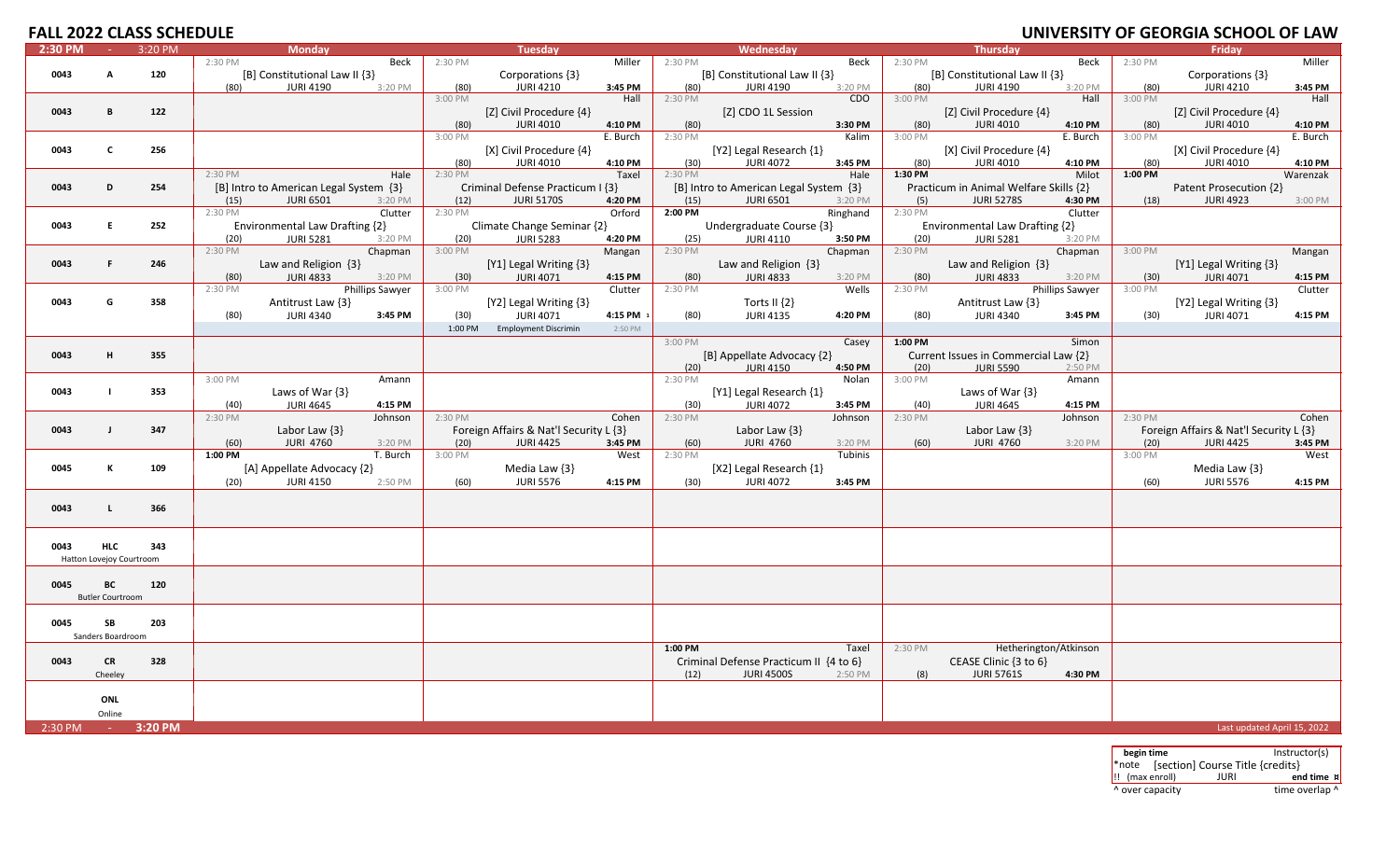| <b>FALL 2022 CLASS SCHEDULE</b> |                          |         |                                        |                                                                |                                                         |                                                                | UNIVERSITY OF GEORGIA SCHOOL OF LAW                            |
|---------------------------------|--------------------------|---------|----------------------------------------|----------------------------------------------------------------|---------------------------------------------------------|----------------------------------------------------------------|----------------------------------------------------------------|
| 2:30 PM                         | $\sim 10$                | 3:20 PM | <b>Monday</b>                          | Tuesday                                                        | Wednesday                                               | <b>Thursday</b>                                                | Fridav                                                         |
|                                 |                          |         | 2:30 PM<br>Beck                        | 2:30 PM<br>Miller                                              | 2:30 PM<br>Beck                                         | 2:30 PM<br>Beck                                                | 2:30 PM<br>Miller                                              |
| 0043                            | А                        | 120     | [B] Constitutional Law II {3}          | Corporations {3}                                               | [B] Constitutional Law II {3}                           | [B] Constitutional Law II {3}                                  | Corporations {3}                                               |
|                                 |                          |         | (80)<br><b>JURI 4190</b><br>3:20 PM    | <b>JURI 4210</b><br>(80)<br>3:45 PM                            | (80)<br><b>JURI 4190</b><br>3:20 PM                     | (80)<br><b>JURI 4190</b><br>3:20 PM                            | <b>JURI 4210</b><br>(80)<br>3:45 PM                            |
|                                 |                          |         |                                        | 3:00 PM<br>Hall                                                | 2:30 PM<br>CDO                                          | 3:00 PM<br>Hall                                                | 3:00 PM<br>Hall                                                |
| 0043                            | $\mathbf{B}$             | 122     |                                        | [Z] Civil Procedure {4}                                        | [Z] CDO 1L Session                                      | [Z] Civil Procedure {4}                                        | [Z] Civil Procedure {4}                                        |
|                                 |                          |         |                                        | <b>JURI 4010</b><br>4:10 PM<br>(80)<br>3:00 PM<br>E. Burch     | (80)<br>3:30 PM<br>2:30 PM<br>Kalim                     | (80)<br><b>JURI 4010</b><br>4:10 PM<br>3:00 PM<br>E. Burch     | (80)<br><b>JURI 4010</b><br>4:10 PM<br>3:00 PM<br>E. Burch     |
| 0043                            | $\mathbf c$              | 256     |                                        |                                                                | [Y2] Legal Research {1}                                 |                                                                |                                                                |
|                                 |                          |         |                                        | [X] Civil Procedure {4}<br><b>JURI 4010</b><br>4:10 PM<br>(80) | <b>JURI 4072</b><br>3:45 PM<br>(30)                     | [X] Civil Procedure {4}<br>(80)<br><b>JURI 4010</b><br>4:10 PM | [X] Civil Procedure {4}<br><b>JURI 4010</b><br>4:10 PM<br>(80) |
|                                 |                          |         | 2:30 PM<br>Hale                        | 2:30 PM<br>Taxel                                               | 2:30 PM<br>Hale                                         | 1:30 PM<br>Milot                                               | 1:00 PM<br>Warenzak                                            |
| 0043                            | D                        | 254     | [B] Intro to American Legal System {3} | Criminal Defense Practicum I {3}                               | [B] Intro to American Legal System {3}                  | Practicum in Animal Welfare Skills {2}                         | Patent Prosecution {2}                                         |
|                                 |                          |         | <b>JURI 6501</b><br>3:20 PM<br>(15)    | <b>JURI 5170S</b><br>4:20 PM<br>(12)                           | <b>JURI 6501</b><br>(15)<br>3:20 PM                     | <b>JURI 5278S</b><br>4:30 PM<br>(5)                            | <b>JURI 4923</b><br>3:00 PM<br>(18)                            |
|                                 |                          |         | 2:30 PM<br>Clutter                     | 2:30 PM<br>Orford                                              | 2:00 PM<br>Ringhand                                     | 2:30 PM<br>Clutter                                             |                                                                |
| 0043                            | E.                       | 252     | Environmental Law Drafting {2}         | Climate Change Seminar {2}                                     | Undergraduate Course {3}                                | Environmental Law Drafting {2}                                 |                                                                |
|                                 |                          |         | <b>JURI 5281</b><br>(20)<br>3:20 PM    | <b>JURI 5283</b><br>(20)<br>4:20 PM                            | <b>JURI 4110</b><br>3:50 PM<br>(25)                     | (20)<br><b>JURI 5281</b><br>3:20 PM                            |                                                                |
|                                 |                          |         | 2:30 PM<br>Chapman                     | 3:00 PM<br>Mangan                                              | $2:30 P\overline{M}$<br>Chapman                         | 2:30 PM<br>Chapman                                             | 3:00 PM<br>Mangan                                              |
| 0043                            | F                        | 246     | Law and Religion $\{3\}$               | [Y1] Legal Writing {3}                                         | Law and Religion $\{3\}$                                | Law and Religion $\{3\}$                                       | [Y1] Legal Writing {3}                                         |
|                                 |                          |         | <b>JURI 4833</b><br>3:20 PM<br>(80)    | <b>JURI 4071</b><br>4:15 PM<br>(30)                            | <b>JURI 4833</b><br>3:20 PM<br>(80)                     | <b>JURI 4833</b><br>3:20 PM<br>(80)                            | <b>JURI 4071</b><br>4:15 PM<br>(30)                            |
|                                 |                          |         | Phillips Sawyer<br>2:30 PM             | Clutter<br>3:00 PM                                             | 2:30 PM<br>Wells                                        | Phillips Sawyer<br>2:30 PM                                     | 3:00 PM<br>Clutter                                             |
| 0043                            | G                        | 358     | Antitrust Law {3}                      | [Y2] Legal Writing {3}                                         | Torts II $\{2\}$                                        | Antitrust Law {3}                                              | [Y2] Legal Writing {3}                                         |
|                                 |                          |         | (80)<br><b>JURI 4340</b><br>3:45 PM    | (30)<br><b>JURI 4071</b><br>4:15 PM                            | (80)<br><b>JURI 4135</b><br>4:20 PM                     | (80)<br><b>JURI 4340</b><br>3:45 PM                            | 4:15 PM<br>(30)<br><b>JURI 4071</b>                            |
|                                 |                          |         |                                        | <b>Employment Discrimin</b><br>2:50 PM<br>1:00 PM              |                                                         |                                                                |                                                                |
|                                 |                          |         |                                        |                                                                | 3:00 PM<br>Casey                                        | 1:00 PM<br>Simon                                               |                                                                |
| 0043                            | H                        | 355     |                                        |                                                                | [B] Appellate Advocacy {2}                              | Current Issues in Commercial Law {2}                           |                                                                |
|                                 |                          |         | 3:00 PM<br>Amann                       |                                                                | <b>JURI 4150</b><br>4:50 PM<br>(20)<br>2:30 PM<br>Nolan | <b>JURI 5590</b><br>(20)<br>2:50 PM<br>3:00 PM<br>Amann        |                                                                |
| 0043                            | $\blacksquare$           | 353     | Laws of War {3}                        |                                                                | [Y1] Legal Research {1}                                 | Laws of War {3}                                                |                                                                |
|                                 |                          |         | (40)<br><b>JURI 4645</b><br>4:15 PM    |                                                                | (30)<br><b>JURI 4072</b><br>3:45 PM                     | (40)<br><b>JURI 4645</b><br>4:15 PM                            |                                                                |
|                                 |                          |         | 2:30 PM<br>Johnson                     | 2:30 PM<br>Cohen                                               | 2:30 PM<br>Johnson                                      | 2:30 PM<br>Johnson                                             | 2:30 PM<br>Cohen                                               |
| 0043                            | $\blacksquare$           | 347     | Labor Law $\{3\}$                      | Foreign Affairs & Nat'l Security L {3}                         | Labor Law $\{3\}$                                       | Labor Law $\{3\}$                                              | Foreign Affairs & Nat'l Security L {3}                         |
|                                 |                          |         | <b>JURI 4760</b><br>(60)<br>3:20 PM    | <b>JURI 4425</b><br>3:45 PM<br>(20)                            | <b>JURI 4760</b><br>(60)<br>3:20 PM                     | <b>JURI 4760</b><br>(60)<br>3:20 PM                            | <b>JURI 4425</b><br>3:45 PM<br>(20)                            |
|                                 |                          |         | 1:00 PM<br>T. Burch                    | 3:00 PM<br>West                                                | 2:30 PM<br>Tubinis                                      |                                                                | 3:00 PM<br>West                                                |
| 0045                            | К                        | 109     | [A] Appellate Advocacy {2}             | Media Law {3}                                                  | [X2] Legal Research {1}                                 |                                                                | Media Law {3}                                                  |
|                                 |                          |         | <b>JURI 4150</b><br>2:50 PM<br>(20)    | (60)<br><b>JURI 5576</b><br>4:15 PM                            | (30)<br><b>JURI 4072</b><br>3:45 PM                     |                                                                | (60)<br><b>JURI 5576</b><br>4:15 PM                            |
|                                 |                          |         |                                        |                                                                |                                                         |                                                                |                                                                |
| 0043                            | $\mathbf{I}$             | 366     |                                        |                                                                |                                                         |                                                                |                                                                |
|                                 |                          |         |                                        |                                                                |                                                         |                                                                |                                                                |
|                                 |                          |         |                                        |                                                                |                                                         |                                                                |                                                                |
| 0043                            | <b>HLC</b>               | 343     |                                        |                                                                |                                                         |                                                                |                                                                |
|                                 | Hatton Lovejoy Courtroom |         |                                        |                                                                |                                                         |                                                                |                                                                |
|                                 |                          |         |                                        |                                                                |                                                         |                                                                |                                                                |
| 0045                            | ВC                       | 120     |                                        |                                                                |                                                         |                                                                |                                                                |
|                                 | <b>Butler Courtroom</b>  |         |                                        |                                                                |                                                         |                                                                |                                                                |
| 0045                            | SB                       | 203     |                                        |                                                                |                                                         |                                                                |                                                                |
|                                 | Sanders Boardroom        |         |                                        |                                                                |                                                         |                                                                |                                                                |
|                                 |                          |         |                                        |                                                                | 1:00 PM<br>Taxel                                        | Hetherington/Atkinson<br>2:30 PM                               |                                                                |
| 0043                            | <b>CR</b>                | 328     |                                        |                                                                | Criminal Defense Practicum II {4 to 6}                  | CEASE Clinic {3 to 6}                                          |                                                                |
|                                 | Cheeley                  |         |                                        |                                                                | <b>JURI 4500S</b><br>(12)<br>2:50 PM                    | <b>JURI 5761S</b><br>(8)<br>4:30 PM                            |                                                                |
|                                 |                          |         |                                        |                                                                |                                                         |                                                                |                                                                |
|                                 | ONL                      |         |                                        |                                                                |                                                         |                                                                |                                                                |
|                                 | Online                   |         |                                        |                                                                |                                                         |                                                                |                                                                |
| 2:30 PM                         |                          | 3:20 PM |                                        |                                                                |                                                         |                                                                | Last updated April 15, 2022                                    |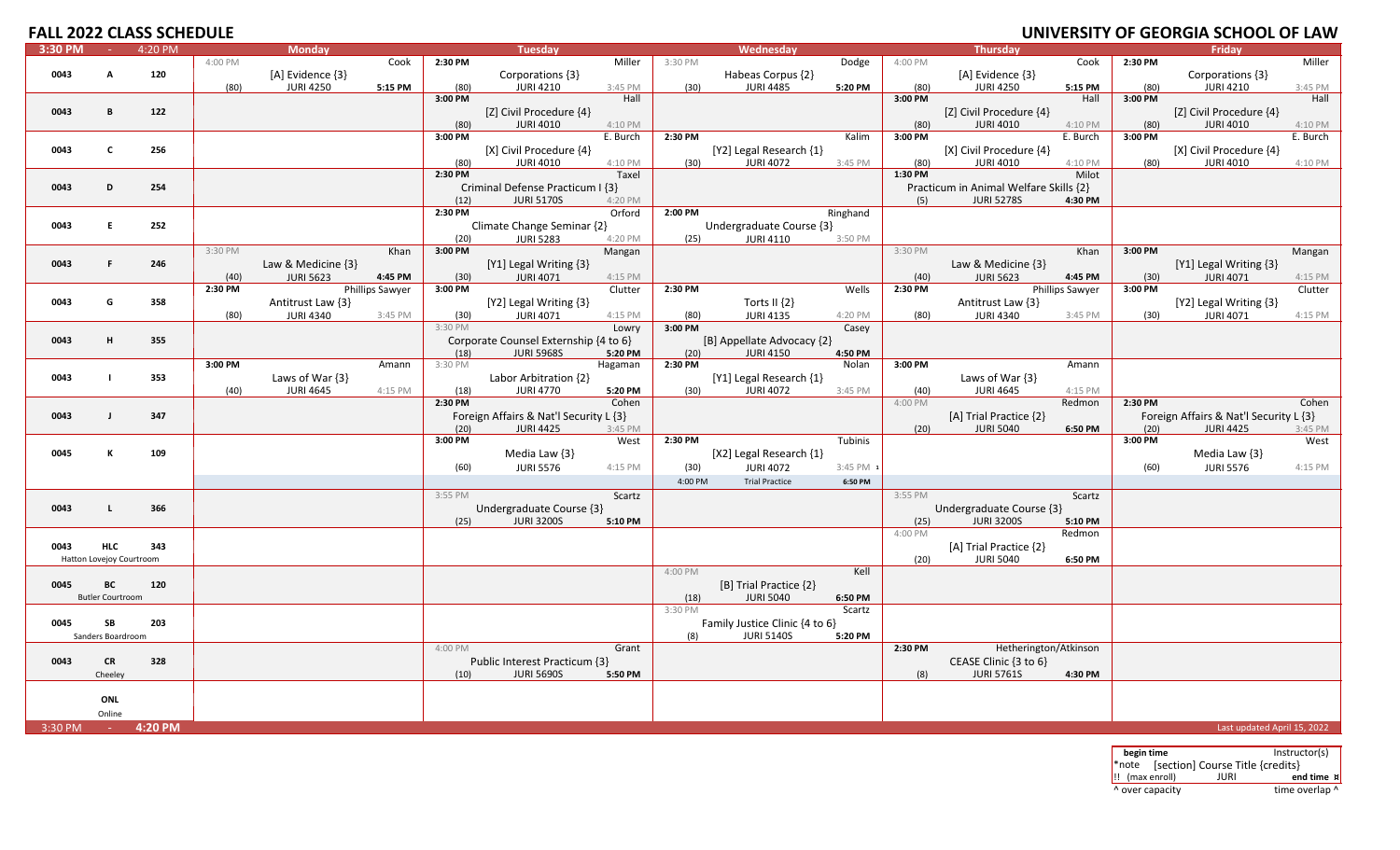### **OF GEORGIA SCHOOL OF LAW**

| 3:30 PM | ne.                      | 4:20 PM |         | <b>Monday</b>       |                        |         | <b>Tuesday</b>                         |          |         | Wednesday                      |           |         | <b>Thursday</b>                        |                        |         | Friday                                 |          |
|---------|--------------------------|---------|---------|---------------------|------------------------|---------|----------------------------------------|----------|---------|--------------------------------|-----------|---------|----------------------------------------|------------------------|---------|----------------------------------------|----------|
|         |                          |         | 4:00 PM |                     | Cook                   | 2:30 PM |                                        | Miller   | 3:30 PM |                                | Dodge     | 4:00 PM |                                        | Cook                   | 2:30 PM |                                        | Miller   |
| 0043    | А                        | 120     |         | [A] Evidence {3}    |                        |         | Corporations {3}                       |          |         | Habeas Corpus {2}              |           |         | [A] Evidence {3}                       |                        |         | Corporations {3}                       |          |
|         |                          |         | (80)    | <b>JURI 4250</b>    | 5:15 PM                | (80)    | <b>JURI 4210</b>                       | 3:45 PM  | (30)    | <b>JURI 4485</b>               | 5:20 PM   | (80)    | <b>JURI 4250</b>                       | 5:15 PM                | (80)    | <b>JURI 4210</b>                       | 3:45 PM  |
|         |                          |         |         |                     |                        | 3:00 PM |                                        | Hall     |         |                                |           | 3:00 PM |                                        | Hall                   | 3:00 PM |                                        | Hall     |
| 0043    | B                        | 122     |         |                     |                        |         | [Z] Civil Procedure {4}                |          |         |                                |           |         | [Z] Civil Procedure {4}                |                        |         | [Z] Civil Procedure {4}                |          |
|         |                          |         |         |                     |                        | (80)    | <b>JURI 4010</b>                       | 4:10 PM  |         |                                |           | (80)    | <b>JURI 4010</b>                       | 4:10 PM                | (80)    | <b>JURI 4010</b>                       | 4:10 PM  |
|         |                          |         |         |                     |                        | 3:00 PM |                                        | E. Burch | 2:30 PM |                                | Kalim     | 3:00 PM |                                        | E. Burch               | 3:00 PM |                                        | E. Burch |
| 0043    | $\mathbf{c}$             | 256     |         |                     |                        |         | [X] Civil Procedure {4}                |          |         | [Y2] Legal Research {1}        |           |         | [X] Civil Procedure {4}                |                        |         | [X] Civil Procedure {4}                |          |
|         |                          |         |         |                     |                        |         |                                        |          |         |                                |           |         |                                        |                        |         |                                        |          |
|         |                          |         |         |                     |                        | (80)    | <b>JURI 4010</b>                       | 4:10 PM  | (30)    | <b>JURI 4072</b>               | 3:45 PM   | (80)    | <b>JURI 4010</b>                       | 4:10 PM                | (80)    | <b>JURI 4010</b>                       | 4:10 PM  |
|         |                          |         |         |                     |                        | 2:30 PM |                                        | Taxel    |         |                                |           | 1:30 PM |                                        | Milot                  |         |                                        |          |
| 0043    | D                        | 254     |         |                     |                        |         | Criminal Defense Practicum I {3}       |          |         |                                |           |         | Practicum in Animal Welfare Skills {2} |                        |         |                                        |          |
|         |                          |         |         |                     |                        | (12)    | <b>JURI 5170S</b>                      | 4:20 PM  |         |                                |           | (5)     | <b>JURI 5278S</b>                      | 4:30 PM                |         |                                        |          |
|         |                          |         |         |                     |                        | 2:30 PM |                                        | Orford   | 2:00 PM |                                | Ringhand  |         |                                        |                        |         |                                        |          |
| 0043    | E.                       | 252     |         |                     |                        |         | Climate Change Seminar {2}             |          |         | Undergraduate Course {3}       |           |         |                                        |                        |         |                                        |          |
|         |                          |         |         |                     |                        | (20)    | <b>JURI 5283</b>                       | 4:20 PM  | (25)    | <b>JURI 4110</b>               | 3:50 PM   |         |                                        |                        |         |                                        |          |
|         |                          |         | 3:30 PM |                     | Khan                   | 3:00 PM |                                        | Mangan   |         |                                |           | 3:30 PM |                                        | Khan                   | 3:00 PM |                                        | Mangan   |
| 0043    | F.                       | 246     |         | Law & Medicine {3}  |                        |         | [Y1] Legal Writing {3}                 |          |         |                                |           |         | Law & Medicine $\{3\}$                 |                        |         | [Y1] Legal Writing {3}                 |          |
|         |                          |         | (40)    | <b>JURI 5623</b>    | 4:45 PM                | (30)    | <b>JURI 4071</b>                       | 4:15 PM  |         |                                |           | (40)    | <b>JURI 5623</b>                       | 4:45 PM                | (30)    | <b>JURI 4071</b>                       | 4:15 PM  |
|         |                          |         | 2:30 PM |                     | <b>Phillips Sawyer</b> | 3:00 PM |                                        | Clutter  | 2:30 PM |                                | Wells     | 2:30 PM |                                        | <b>Phillips Sawyer</b> | 3:00 PM |                                        | Clutter  |
| 0043    | G                        | 358     |         |                     |                        |         |                                        |          |         |                                |           |         |                                        |                        |         |                                        |          |
|         |                          |         |         | Antitrust Law {3}   |                        |         | [Y2] Legal Writing {3}                 |          |         | Torts II $\{2\}$               |           |         | Antitrust Law {3}                      |                        |         | [Y2] Legal Writing {3}                 |          |
|         |                          |         | (80)    | <b>JURI 4340</b>    | 3:45 PM                | (30)    | <b>JURI 4071</b>                       | 4:15 PM  | (80)    | <b>JURI 4135</b>               | 4:20 PM   | (80)    | <b>JURI 4340</b>                       | 3:45 PM                | (30)    | <b>JURI 4071</b>                       | 4:15 PM  |
|         |                          |         |         |                     |                        | 3:30 PM |                                        | Lowry    | 3:00 PM |                                | Casey     |         |                                        |                        |         |                                        |          |
| 0043    | н.                       | 355     |         |                     |                        |         | Corporate Counsel Externship {4 to 6}  |          |         | [B] Appellate Advocacy {2}     |           |         |                                        |                        |         |                                        |          |
|         |                          |         |         |                     |                        | (18)    | <b>JURI 5968S</b>                      | 5:20 PM  | (20)    | <b>JURI 4150</b>               | 4:50 PM   |         |                                        |                        |         |                                        |          |
|         |                          |         | 3:00 PM |                     | Amann                  | 3:30 PM |                                        | Hagaman  | 2:30 PM |                                | Nolan     | 3:00 PM |                                        | Amann                  |         |                                        |          |
| 0043    |                          | 353     |         | Laws of War $\{3\}$ |                        |         | Labor Arbitration {2}                  |          |         | [Y1] Legal Research {1}        |           |         | Laws of War $\{3\}$                    |                        |         |                                        |          |
|         |                          |         | (40)    | <b>JURI 4645</b>    | 4:15 PM                | (18)    | <b>JURI 4770</b>                       | 5:20 PM  | (30)    | <b>JURI 4072</b>               | 3:45 PM   | (40)    | <b>JURI 4645</b>                       | 4:15 PM                |         |                                        |          |
|         |                          |         |         |                     |                        | 2:30 PM |                                        | Cohen    |         |                                |           | 4:00 PM |                                        | Redmon                 | 2:30 PM |                                        | Cohen    |
| 0043    | $\mathbf{I}$             | 347     |         |                     |                        |         | Foreign Affairs & Nat'l Security L {3} |          |         |                                |           |         | [A] Trial Practice {2}                 |                        |         | Foreign Affairs & Nat'l Security L {3} |          |
|         |                          |         |         |                     |                        | (20)    | <b>JURI 4425</b>                       | 3:45 PM  |         |                                |           | (20)    | <b>JURI 5040</b>                       | 6:50 PM                | (20)    | <b>JURI 4425</b>                       | 3:45 PM  |
|         |                          |         |         |                     |                        | 3:00 PM |                                        | West     | 2:30 PM |                                | Tubinis   |         |                                        |                        | 3:00 PM |                                        | West     |
| 0045    | К                        | 109     |         |                     |                        |         | Media Law $\{3\}$                      |          |         | [X2] Legal Research {1}        |           |         |                                        |                        |         | Media Law $\{3\}$                      |          |
|         |                          |         |         |                     |                        |         | <b>JURI 5576</b>                       | 4:15 PM  |         | <b>JURI 4072</b>               | 3:45 PM 1 |         |                                        |                        |         | <b>JURI 5576</b>                       | 4:15 PM  |
|         |                          |         |         |                     |                        | (60)    |                                        |          | (30)    |                                |           |         |                                        |                        | (60)    |                                        |          |
|         |                          |         |         |                     |                        |         |                                        |          | 4:00 PM | <b>Trial Practice</b>          | 6:50 PM   |         |                                        |                        |         |                                        |          |
|         |                          |         |         |                     |                        | 3:55 PM |                                        | Scartz   |         |                                |           | 3:55 PM |                                        | Scartz                 |         |                                        |          |
| 0043    | $\mathsf{L}$             | 366     |         |                     |                        |         | Undergraduate Course {3}               |          |         |                                |           |         | Undergraduate Course {3}               |                        |         |                                        |          |
|         |                          |         |         |                     |                        | (25)    | <b>JURI 3200S</b>                      | 5:10 PM  |         |                                |           | (25)    | <b>JURI 3200S</b>                      | 5:10 PM                |         |                                        |          |
|         |                          |         |         |                     |                        |         |                                        |          |         |                                |           | 4:00 PM |                                        | Redmon                 |         |                                        |          |
| 0043    | <b>HLC</b>               | 343     |         |                     |                        |         |                                        |          |         |                                |           |         | [A] Trial Practice {2}                 |                        |         |                                        |          |
|         | Hatton Lovejoy Courtroom |         |         |                     |                        |         |                                        |          |         |                                |           | (20)    | <b>JURI 5040</b>                       | 6:50 PM                |         |                                        |          |
|         |                          |         |         |                     |                        |         |                                        |          | 4:00 PM |                                | Kell      |         |                                        |                        |         |                                        |          |
| 0045    | ВC                       | 120     |         |                     |                        |         |                                        |          |         | [B] Trial Practice {2}         |           |         |                                        |                        |         |                                        |          |
|         | <b>Butler Courtroom</b>  |         |         |                     |                        |         |                                        |          | (18)    | <b>JURI 5040</b>               | 6:50 PM   |         |                                        |                        |         |                                        |          |
|         |                          |         |         |                     |                        |         |                                        |          | 3:30 PM |                                | Scartz    |         |                                        |                        |         |                                        |          |
|         |                          |         |         |                     |                        |         |                                        |          |         |                                |           |         |                                        |                        |         |                                        |          |
| 0045    | SB                       | 203     |         |                     |                        |         |                                        |          |         | Family Justice Clinic {4 to 6} |           |         |                                        |                        |         |                                        |          |
|         | Sanders Boardroom        |         |         |                     |                        |         |                                        |          | (8)     | <b>JURI 5140S</b>              | 5:20 PM   |         |                                        |                        |         |                                        |          |
|         |                          |         |         |                     |                        | 4:00 PM |                                        | Grant    |         |                                |           | 2:30 PM | Hetherington/Atkinson                  |                        |         |                                        |          |
| 0043    | <b>CR</b>                | 328     |         |                     |                        |         | Public Interest Practicum {3}          |          |         |                                |           |         | CEASE Clinic {3 to 6}                  |                        |         |                                        |          |
|         | Cheeley                  |         |         |                     |                        | (10)    | <b>JURI 5690S</b>                      | 5:50 PM  |         |                                |           | (8)     | <b>JURI 5761S</b>                      | 4:30 PM                |         |                                        |          |
|         |                          |         |         |                     |                        |         |                                        |          |         |                                |           |         |                                        |                        |         |                                        |          |
|         | ONL                      |         |         |                     |                        |         |                                        |          |         |                                |           |         |                                        |                        |         |                                        |          |
|         | Online                   |         |         |                     |                        |         |                                        |          |         |                                |           |         |                                        |                        |         |                                        |          |
| 3:30 PM | <b>Contract</b>          | 4:20 PM |         |                     |                        |         |                                        |          |         |                                |           |         |                                        |                        |         | Last updated April 15, 2022            |          |
|         |                          |         |         |                     |                        |         |                                        |          |         |                                |           |         |                                        |                        |         |                                        |          |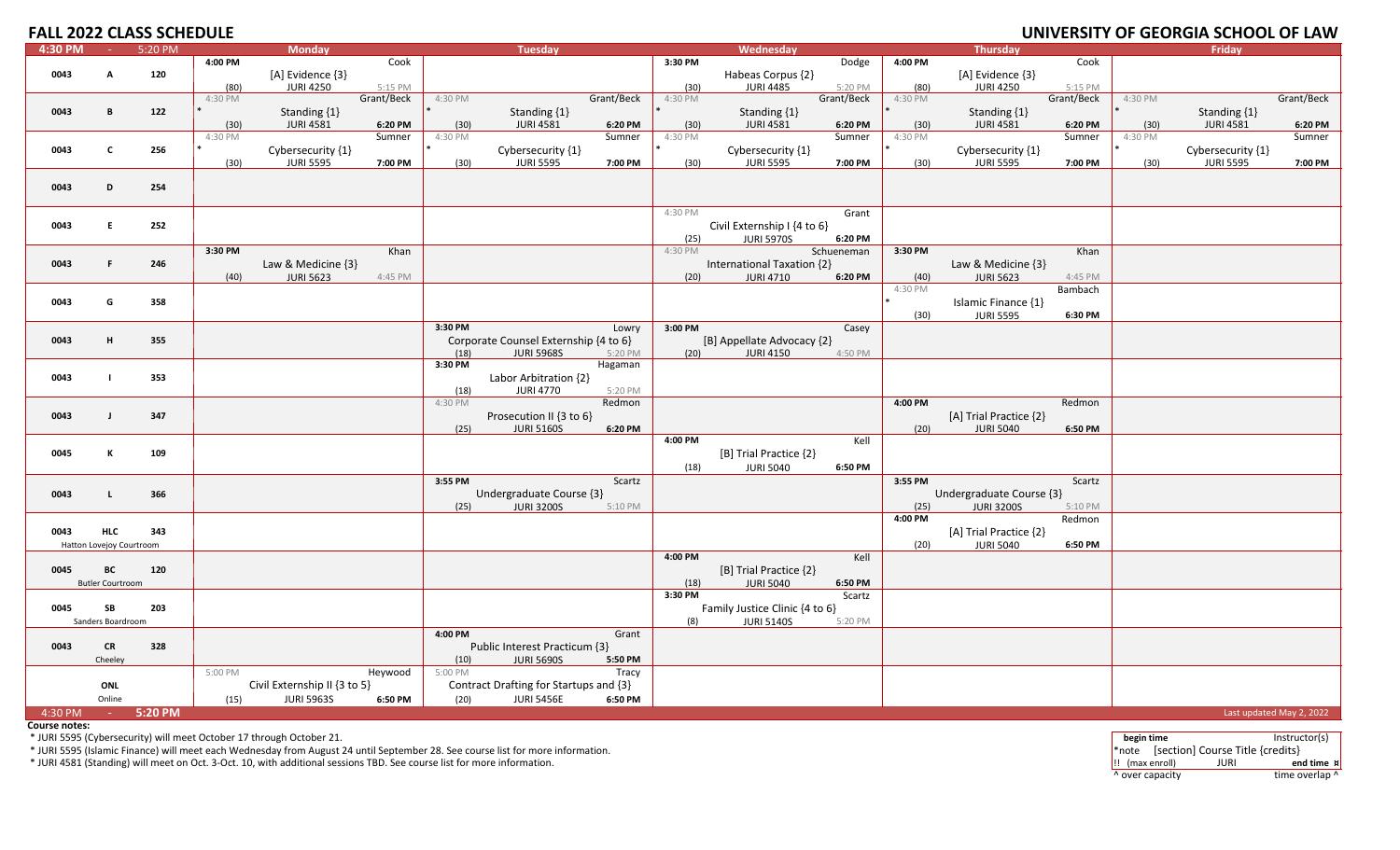# **OF GEORGIA SCHOOL OF LAW**

| 4:30 PM | <b>College</b>           | 5:20 PM |         | <b>Monday</b>                |            |         | <b>Tuesday</b>                            |            |           | Wednesday                             |            |         | <b>Thursday</b>          |            |         | Friday            |                          |
|---------|--------------------------|---------|---------|------------------------------|------------|---------|-------------------------------------------|------------|-----------|---------------------------------------|------------|---------|--------------------------|------------|---------|-------------------|--------------------------|
|         |                          |         | 4:00 PM |                              | Cook       |         |                                           |            | 3:30 PM   |                                       | Dodge      | 4:00 PM |                          | Cook       |         |                   |                          |
| 0043    | A                        | 120     |         | [A] Evidence {3}             |            |         |                                           |            |           | Habeas Corpus {2}                     |            |         | [A] Evidence {3}         |            |         |                   |                          |
|         |                          |         | (80)    | <b>JURI 4250</b>             | 5:15 PM    |         |                                           |            | (30)      | <b>JURI 4485</b>                      | 5:20 PM    | (80)    | <b>JURI 4250</b>         | 5:15 PM    |         |                   |                          |
|         |                          |         | 4:30 PM |                              | Grant/Beck | 4:30 PM |                                           | Grant/Beck | 4:30 PM   |                                       | Grant/Beck | 4:30 PM |                          | Grant/Beck | 4:30 PM |                   | Grant/Beck               |
| 0043    | B                        | 122     |         | Standing $\{1\}$             |            |         | Standing {1}                              |            |           | Standing {1}                          |            |         | Standing {1}             |            |         | Standing {1}      |                          |
|         |                          |         | (30)    | <b>JURI 4581</b>             | 6:20 PM    | (30)    | <b>JURI 4581</b>                          | 6:20 PM    | (30)      | <b>JURI 4581</b>                      | 6:20 PM    | (30)    | <b>JURI 4581</b>         | 6:20 PM    | (30)    | <b>JURI 4581</b>  | 6:20 PM                  |
|         |                          |         | 4:30 PM |                              | Sumner     | 4:30 PM |                                           | Sumner     | 4:30 PM   |                                       | Sumner     | 4:30 PM |                          | Sumner     | 4:30 PM |                   | Sumner                   |
| 0043    | $\mathbf{c}$             |         |         |                              |            |         |                                           |            |           |                                       |            |         |                          |            |         |                   |                          |
|         |                          | 256     |         | Cybersecurity {1}            | 7:00 PM    |         | Cybersecurity $\{1\}$<br><b>JURI 5595</b> |            |           | Cybersecurity {1}<br><b>JURI 5595</b> | 7:00 PM    |         | Cybersecurity {1}        |            |         | Cybersecurity {1} | 7:00 PM                  |
|         |                          |         | (30)    | <b>JURI 5595</b>             |            | (30)    |                                           | 7:00 PM    | (30)      |                                       |            | (30)    | <b>JURI 5595</b>         | 7:00 PM    | (30)    | <b>JURI 5595</b>  |                          |
|         |                          |         |         |                              |            |         |                                           |            |           |                                       |            |         |                          |            |         |                   |                          |
| 0043    | D                        | 254     |         |                              |            |         |                                           |            |           |                                       |            |         |                          |            |         |                   |                          |
|         |                          |         |         |                              |            |         |                                           |            |           |                                       |            |         |                          |            |         |                   |                          |
|         |                          |         |         |                              |            |         |                                           |            | 4:30 PM   |                                       | Grant      |         |                          |            |         |                   |                          |
| 0043    | E                        | 252     |         |                              |            |         |                                           |            |           | Civil Externship I {4 to 6}           |            |         |                          |            |         |                   |                          |
|         |                          |         |         |                              |            |         |                                           |            | (25)      | <b>JURI 5970S</b>                     | 6:20 PM    |         |                          |            |         |                   |                          |
|         |                          |         | 3:30 PM |                              | Khan       |         |                                           |            | 4:30 PM   |                                       | Schueneman | 3:30 PM |                          | Khan       |         |                   |                          |
| 0043    | F.                       | 246     |         | Law & Medicine {3}           |            |         |                                           |            |           | International Taxation {2}            |            |         | Law & Medicine {3}       |            |         |                   |                          |
|         |                          |         | (40)    | <b>JURI 5623</b>             | 4:45 PM    |         |                                           |            | (20)      | <b>JURI 4710</b>                      | 6:20 PM    | (40)    | <b>JURI 5623</b>         | 4:45 PM    |         |                   |                          |
|         |                          |         |         |                              |            |         |                                           |            |           |                                       |            | 4:30 PM |                          | Bambach    |         |                   |                          |
| 0043    | G                        | 358     |         |                              |            |         |                                           |            |           |                                       |            |         | Islamic Finance {1}      |            |         |                   |                          |
|         |                          |         |         |                              |            |         |                                           |            |           |                                       |            | (30)    | <b>JURI 5595</b>         | 6:30 PM    |         |                   |                          |
|         |                          |         |         |                              |            | 3:30 PM |                                           | Lowry      | 3:00 PM   |                                       | Casey      |         |                          |            |         |                   |                          |
| 0043    | H                        | 355     |         |                              |            |         | Corporate Counsel Externship {4 to 6}     |            |           | [B] Appellate Advocacy {2}            |            |         |                          |            |         |                   |                          |
|         |                          |         |         |                              |            | (18)    | <b>JURI 5968S</b>                         | 5:20 PM    | (20)      | <b>JURI 4150</b>                      | 4:50 PM    |         |                          |            |         |                   |                          |
|         |                          |         |         |                              |            | 3:30 PM |                                           | Hagaman    |           |                                       |            |         |                          |            |         |                   |                          |
| 0043    |                          | 353     |         |                              |            |         | Labor Arbitration {2}                     |            |           |                                       |            |         |                          |            |         |                   |                          |
|         |                          |         |         |                              |            | (18)    | <b>JURI 4770</b>                          | 5:20 PM    |           |                                       |            |         |                          |            |         |                   |                          |
|         |                          |         |         |                              |            | 4:30 PM |                                           | Redmon     |           |                                       |            | 4:00 PM |                          | Redmon     |         |                   |                          |
| 0043    | - 1                      | 347     |         |                              |            |         | Prosecution II {3 to 6}                   |            |           |                                       |            |         | [A] Trial Practice {2}   |            |         |                   |                          |
|         |                          |         |         |                              |            | (25)    | <b>JURI 5160S</b>                         | 6:20 PM    |           |                                       |            | (20)    | <b>JURI 5040</b>         | 6:50 PM    |         |                   |                          |
|         |                          |         |         |                              |            |         |                                           |            | 4:00 PM   |                                       | Kell       |         |                          |            |         |                   |                          |
| 0045    | к                        | 109     |         |                              |            |         |                                           |            |           | [B] Trial Practice {2}                |            |         |                          |            |         |                   |                          |
|         |                          |         |         |                              |            |         |                                           |            | (18)      | <b>JURI 5040</b>                      | 6:50 PM    |         |                          |            |         |                   |                          |
|         |                          |         |         |                              |            | 3:55 PM |                                           | Scartz     |           |                                       |            | 3:55 PM |                          | Scartz     |         |                   |                          |
| 0043    | L.                       | 366     |         |                              |            |         | Undergraduate Course {3}                  |            |           |                                       |            |         | Undergraduate Course {3} |            |         |                   |                          |
|         |                          |         |         |                              |            | (25)    | <b>JURI 3200S</b>                         | 5:10 PM    |           |                                       |            | (25)    | <b>JURI 3200S</b>        | 5:10 PM    |         |                   |                          |
|         |                          |         |         |                              |            |         |                                           |            |           |                                       |            | 4:00 PM |                          | Redmon     |         |                   |                          |
| 0043    | <b>HLC</b>               | 343     |         |                              |            |         |                                           |            |           |                                       |            |         | [A] Trial Practice {2}   |            |         |                   |                          |
|         | Hatton Lovejoy Courtroom |         |         |                              |            |         |                                           |            |           |                                       |            | (20)    | <b>JURI 5040</b>         | 6:50 PM    |         |                   |                          |
|         |                          |         |         |                              |            |         |                                           |            | $4:00$ PM |                                       | Kell       |         |                          |            |         |                   |                          |
|         | BC                       | 120     |         |                              |            |         |                                           |            |           |                                       |            |         |                          |            |         |                   |                          |
| 0045    |                          |         |         |                              |            |         |                                           |            |           | [B] Trial Practice {2}                |            |         |                          |            |         |                   |                          |
|         | <b>Butler Courtroom</b>  |         |         |                              |            |         |                                           |            | (18)      | <b>JURI 5040</b>                      | 6:50 PM    |         |                          |            |         |                   |                          |
|         |                          |         |         |                              |            |         |                                           |            | 3:30 PM   |                                       | Scartz     |         |                          |            |         |                   |                          |
| 0045    | SB                       | 203     |         |                              |            |         |                                           |            |           | Family Justice Clinic {4 to 6}        |            |         |                          |            |         |                   |                          |
|         | Sanders Boardroom        |         |         |                              |            |         |                                           |            | (8)       | <b>JURI 5140S</b>                     | 5:20 PM    |         |                          |            |         |                   |                          |
|         |                          |         |         |                              |            | 4:00 PM |                                           | Grant      |           |                                       |            |         |                          |            |         |                   |                          |
| 0043    | <b>CR</b>                | 328     |         |                              |            |         | Public Interest Practicum {3}             |            |           |                                       |            |         |                          |            |         |                   |                          |
|         | Cheeley                  |         |         |                              |            | (10)    | <b>JURI 5690S</b>                         | 5:50 PM    |           |                                       |            |         |                          |            |         |                   |                          |
|         |                          |         | 5:00 PM |                              | Heywood    | 5:00 PM |                                           | Tracy      |           |                                       |            |         |                          |            |         |                   |                          |
|         | ONL                      |         |         | Civil Externship II {3 to 5} |            |         | Contract Drafting for Startups and {3}    |            |           |                                       |            |         |                          |            |         |                   |                          |
|         | Online                   |         | (15)    | <b>JURI 5963S</b>            | 6:50 PM    | (20)    | <b>JURI 5456E</b>                         | 6:50 PM    |           |                                       |            |         |                          |            |         |                   |                          |
| 4:30 PM | <b>College</b>           | 5:20 PM |         |                              |            |         |                                           |            |           |                                       |            |         |                          |            |         |                   | Last updated May 2, 2022 |

**Course notes:**

\* JURI 5595 (Cybersecurity) will meet October 17 through October 21.<br>\* JURI 5595 (Islamic Finance) will meet each Wednesday from August 24 until September 28. See course list for more information.<br>\* JURI 4581 (Standing) wi ^ over capacity  $\bullet$  time overlap  $\bullet$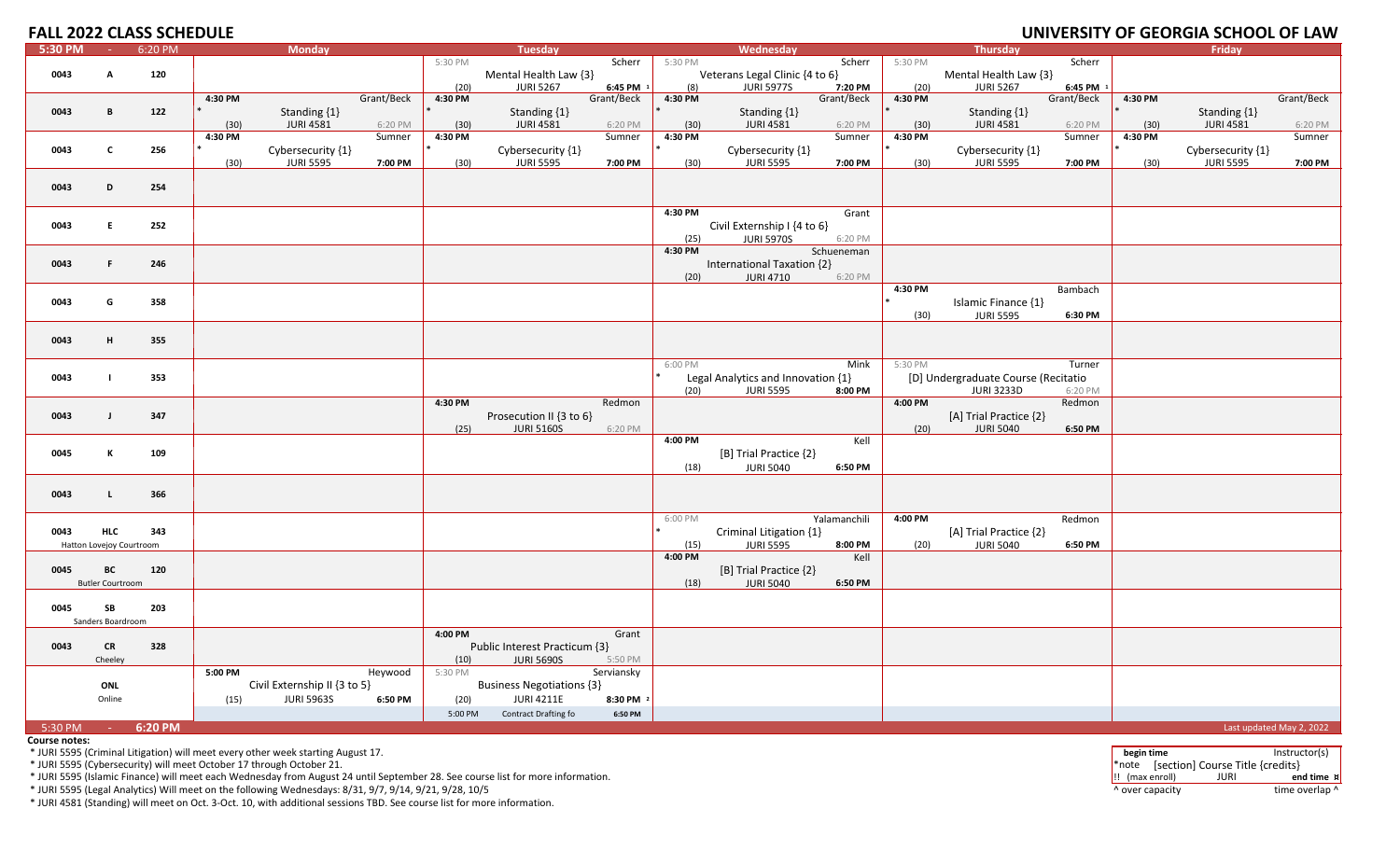| <b>FALL 2022 CLASS SCHEDULE</b> |                          |         |         |                              |            |                 |                                  |                         |                |                                    |                       |                 |                                         |                         |         | UNIVERSITY OF GEORGIA SCHOOL OF LAW |                          |
|---------------------------------|--------------------------|---------|---------|------------------------------|------------|-----------------|----------------------------------|-------------------------|----------------|------------------------------------|-----------------------|-----------------|-----------------------------------------|-------------------------|---------|-------------------------------------|--------------------------|
| 5:30 PM                         | $\sim 100$               | 6:20 PM |         | <b>Monday</b>                |            |                 | <b>Tuesday</b>                   |                         |                | Wednesday                          |                       |                 | <b>Thursday</b>                         |                         |         | <b>Fridav</b>                       |                          |
|                                 |                          |         |         |                              |            | 5:30 PM         |                                  | Scherr                  | 5:30 PM        |                                    | Scherr                | 5:30 PM         |                                         | Scherr                  |         |                                     |                          |
| 0043                            | $\mathbf{A}$             | 120     |         |                              |            |                 | Mental Health Law {3}            |                         |                | Veterans Legal Clinic {4 to 6}     |                       |                 | Mental Health Law {3}                   |                         |         |                                     |                          |
|                                 |                          |         | 4:30 PM |                              | Grant/Beck | (20)<br>4:30 PM | <b>JURI 5267</b>                 | 6:45 PM 1<br>Grant/Beck | (8)<br>4:30 PM | <b>JURI 5977S</b>                  | 7:20 PM<br>Grant/Beck | (20)<br>4:30 PM | <b>JURI 5267</b>                        | 6:45 PM 1<br>Grant/Beck | 4:30 PM |                                     | Grant/Beck               |
| 0043                            | B                        | 122     |         | Standing {1}                 |            |                 | Standing {1}                     |                         |                | Standing $\{1\}$                   |                       |                 | Standing {1}                            |                         |         | Standing {1}                        |                          |
|                                 |                          |         | (30)    | <b>JURI 4581</b>             | 6:20 PM    | (30)            | <b>JURI 4581</b>                 | 6:20 PM                 | (30)           | <b>JURI 4581</b>                   | 6:20 PM               | (30)            | <b>JURI 4581</b>                        | 6:20 PM                 | (30)    | <b>JURI 4581</b>                    | 6:20 PM                  |
|                                 |                          |         | 4:30 PM |                              | Sumner     | 4:30 PM         |                                  | Sumner                  | 4:30 PM        |                                    | Sumner                | 4:30 PM         |                                         | Sumner                  | 4:30 PM |                                     | Sumner                   |
| 0043                            | $\mathbf{c}$             | 256     |         | Cybersecurity {1}            |            |                 | Cybersecurity {1}                |                         |                | Cybersecurity {1}                  |                       |                 | Cybersecurity {1}                       |                         |         | Cybersecurity {1}                   |                          |
|                                 |                          |         | (30)    | <b>JURI 5595</b>             | 7:00 PM    | (30)            | <b>JURI 5595</b>                 | 7:00 PM                 | (30)           | <b>JURI 5595</b>                   | 7:00 PM               | (30)            | <b>JURI 5595</b>                        | 7:00 PM                 | (30)    | <b>JURI 5595</b>                    | 7:00 PM                  |
|                                 |                          |         |         |                              |            |                 |                                  |                         |                |                                    |                       |                 |                                         |                         |         |                                     |                          |
| 0043                            | D                        | 254     |         |                              |            |                 |                                  |                         |                |                                    |                       |                 |                                         |                         |         |                                     |                          |
|                                 |                          |         |         |                              |            |                 |                                  |                         | 4:30 PM        |                                    | Grant                 |                 |                                         |                         |         |                                     |                          |
| 0043                            | E                        | 252     |         |                              |            |                 |                                  |                         |                | Civil Externship I {4 to 6}        |                       |                 |                                         |                         |         |                                     |                          |
|                                 |                          |         |         |                              |            |                 |                                  |                         | (25)           | <b>JURI 5970S</b>                  | 6:20 PM               |                 |                                         |                         |         |                                     |                          |
|                                 |                          |         |         |                              |            |                 |                                  |                         | 4:30 PM        |                                    | Schueneman            |                 |                                         |                         |         |                                     |                          |
| 0043                            | F.                       | 246     |         |                              |            |                 |                                  |                         |                | International Taxation {2}         |                       |                 |                                         |                         |         |                                     |                          |
|                                 |                          |         |         |                              |            |                 |                                  |                         | (20)           | <b>JURI 4710</b>                   | 6:20 PM               |                 |                                         |                         |         |                                     |                          |
|                                 |                          |         |         |                              |            |                 |                                  |                         |                |                                    |                       | 4:30 PM         |                                         | Bambach                 |         |                                     |                          |
| 0043                            | G                        | 358     |         |                              |            |                 |                                  |                         |                |                                    |                       | (30)            | Islamic Finance {1}<br><b>JURI 5595</b> | 6:30 PM                 |         |                                     |                          |
|                                 |                          |         |         |                              |            |                 |                                  |                         |                |                                    |                       |                 |                                         |                         |         |                                     |                          |
| 0043                            | H                        | 355     |         |                              |            |                 |                                  |                         |                |                                    |                       |                 |                                         |                         |         |                                     |                          |
|                                 |                          |         |         |                              |            |                 |                                  |                         |                |                                    |                       |                 |                                         |                         |         |                                     |                          |
|                                 |                          |         |         |                              |            |                 |                                  |                         | 6:00 PM        |                                    | Mink                  | 5:30 PM         |                                         | Turner                  |         |                                     |                          |
| 0043                            | $\blacksquare$           | 353     |         |                              |            |                 |                                  |                         |                | Legal Analytics and Innovation {1} |                       |                 | [D] Undergraduate Course (Recitatio     |                         |         |                                     |                          |
|                                 |                          |         |         |                              |            | 4:30 PM         |                                  |                         | (20)           | <b>JURI 5595</b>                   | 8:00 PM               | 4:00 PM         | <b>JURI 3233D</b>                       | 6:20 PM                 |         |                                     |                          |
| 0043                            | $\mathbf{J}$             | 347     |         |                              |            |                 | Prosecution II {3 to 6}          | Redmon                  |                |                                    |                       |                 | [A] Trial Practice {2}                  | Redmon                  |         |                                     |                          |
|                                 |                          |         |         |                              |            | (25)            | <b>JURI 5160S</b>                | 6:20 PM                 |                |                                    |                       | (20)            | <b>JURI 5040</b>                        | 6:50 PM                 |         |                                     |                          |
|                                 |                          |         |         |                              |            |                 |                                  |                         | 4:00 PM        |                                    | Kell                  |                 |                                         |                         |         |                                     |                          |
| 0045                            | К                        | 109     |         |                              |            |                 |                                  |                         |                | [B] Trial Practice {2}             |                       |                 |                                         |                         |         |                                     |                          |
|                                 |                          |         |         |                              |            |                 |                                  |                         | (18)           | <b>JURI 5040</b>                   | 6:50 PM               |                 |                                         |                         |         |                                     |                          |
|                                 |                          |         |         |                              |            |                 |                                  |                         |                |                                    |                       |                 |                                         |                         |         |                                     |                          |
| 0043                            | $\mathbf{L}$             | 366     |         |                              |            |                 |                                  |                         |                |                                    |                       |                 |                                         |                         |         |                                     |                          |
|                                 |                          |         |         |                              |            |                 |                                  |                         | 6:00 PM        |                                    | Yalamanchili          | 4:00 PM         |                                         | Redmon                  |         |                                     |                          |
| 0043                            | <b>HLC</b>               | 343     |         |                              |            |                 |                                  |                         |                | Criminal Litigation {1}            |                       |                 | [A] Trial Practice {2}                  |                         |         |                                     |                          |
|                                 | Hatton Lovejoy Courtroom |         |         |                              |            |                 |                                  |                         | (15)           | <b>JURI 5595</b>                   | 8:00 PM               | (20)            | <b>JURI 5040</b>                        | 6:50 PM                 |         |                                     |                          |
|                                 |                          |         |         |                              |            |                 |                                  |                         | 4:00 PM        |                                    | Kell                  |                 |                                         |                         |         |                                     |                          |
| 0045                            | BC                       | 120     |         |                              |            |                 |                                  |                         |                | [B] Trial Practice {2}             |                       |                 |                                         |                         |         |                                     |                          |
|                                 | <b>Butler Courtroom</b>  |         |         |                              |            |                 |                                  |                         | (18)           | <b>JURI 5040</b>                   | 6:50 PM               |                 |                                         |                         |         |                                     |                          |
|                                 |                          |         |         |                              |            |                 |                                  |                         |                |                                    |                       |                 |                                         |                         |         |                                     |                          |
| 0045                            | SB<br>Sanders Boardroom  | 203     |         |                              |            |                 |                                  |                         |                |                                    |                       |                 |                                         |                         |         |                                     |                          |
|                                 |                          |         |         |                              |            | 4:00 PM         |                                  | Grant                   |                |                                    |                       |                 |                                         |                         |         |                                     |                          |
| 0043                            | CR                       | 328     |         |                              |            |                 | Public Interest Practicum {3}    |                         |                |                                    |                       |                 |                                         |                         |         |                                     |                          |
|                                 | Cheeley                  |         |         |                              |            | (10)            | <b>JURI 5690S</b>                | 5:50 PM                 |                |                                    |                       |                 |                                         |                         |         |                                     |                          |
|                                 |                          |         | 5:00 PM |                              | Heywood    | 5:30 PM         |                                  | Serviansky              |                |                                    |                       |                 |                                         |                         |         |                                     |                          |
|                                 | ONL                      |         |         | Civil Externship II {3 to 5} |            |                 | <b>Business Negotiations {3}</b> |                         |                |                                    |                       |                 |                                         |                         |         |                                     |                          |
|                                 | Online                   |         | (15)    | <b>JURI 5963S</b>            | 6:50 PM    | (20)            | <b>JURI 4211E</b>                | 8:30 PM 2               |                |                                    |                       |                 |                                         |                         |         |                                     |                          |
|                                 |                          |         |         |                              |            | 5:00 PM         | Contract Drafting fo             | 6:50 PM                 |                |                                    |                       |                 |                                         |                         |         |                                     |                          |
| 5:30 PM                         | <b>Common</b>            | 6:20 PM |         |                              |            |                 |                                  |                         |                |                                    |                       |                 |                                         |                         |         |                                     | Last updated May 2, 2022 |

**Course notes:**

\* JURI 5595 (Islamic Finance) will meet each Wednesday from August 24 until September 28. See course list for more information. !! (max enroll) JURI **end time ¤**

\* JURI 5595 (Legal Analytics) Will meet on the following Wednesdays: 8/31, 9/7, 9/14, 9/21, 9/28, 10/5 ^ over capacity time overlap ^

\* JURI 4581 (Standing) will meet on Oct. 3‐Oct. 10, with additional sessions TBD. See course list for more information.

\* JURI 5595 (Criminal Litigation) will meet every other week starting August 17. **begin time** Instructor(s) \* JURI 5595 (Cybersecurity) will meet October <sup>17</sup> through October 21. \*note [section] Course Title {credits}